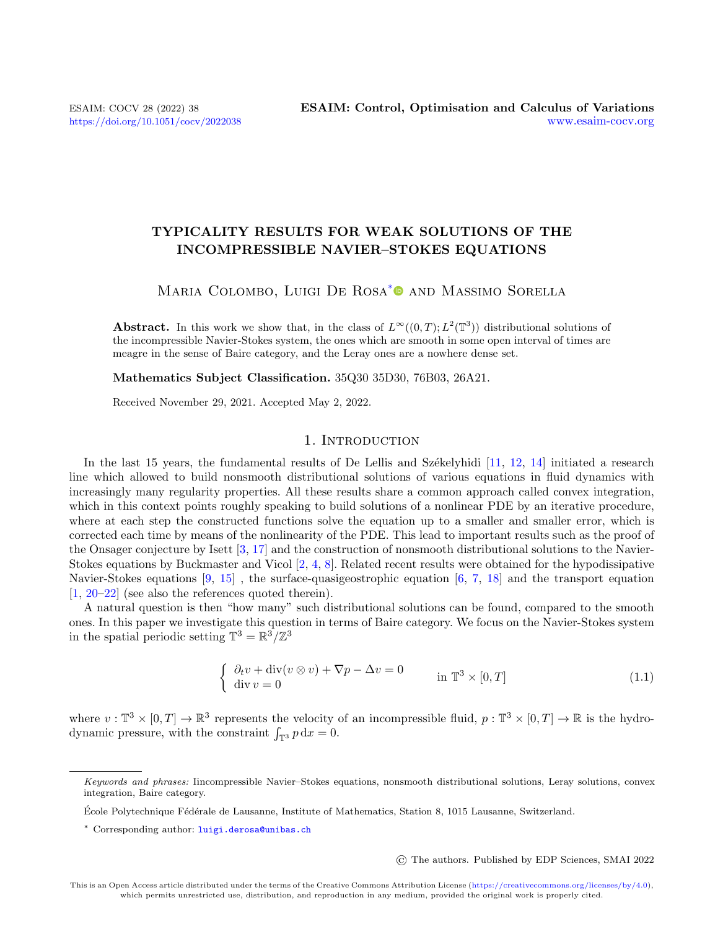# TYPICALITY RESULTS FOR WEAK SOLUTIONS OF THE INCOMPRESSIBLE NAVIER–STOKES EQUATIONS

# MARIA COLOMBO, LUIGI DE ROSA<sup>[\\*](#page-0-0)</sup><sup>O</sup> AND MASSIMO SORELLA

**Abstract.** In this work we show that, in the class of  $L^{\infty}((0,T); L^2(\mathbb{T}^3))$  distributional solutions of the incompressible Navier-Stokes system, the ones which are smooth in some open interval of times are meagre in the sense of Baire category, and the Leray ones are a nowhere dense set.

Mathematics Subject Classification. 35Q30 35D30, 76B03, 26A21.

Received November 29, 2021. Accepted May 2, 2022.

## 1. INTRODUCTION

In the last 15 years, the fundamental results of De Lellis and Székelyhidi  $[11, 12, 14]$  $[11, 12, 14]$  $[11, 12, 14]$  $[11, 12, 14]$  $[11, 12, 14]$  initiated a research line which allowed to build nonsmooth distributional solutions of various equations in fluid dynamics with increasingly many regularity properties. All these results share a common approach called convex integration, which in this context points roughly speaking to build solutions of a nonlinear PDE by an iterative procedure, where at each step the constructed functions solve the equation up to a smaller and smaller error, which is corrected each time by means of the nonlinearity of the PDE. This lead to important results such as the proof of the Onsager conjecture by Isett [\[3,](#page-22-3) [17\]](#page-22-4) and the construction of nonsmooth distributional solutions to the Navier-Stokes equations by Buckmaster and Vicol [\[2,](#page-22-5) [4,](#page-22-6) [8\]](#page-22-7). Related recent results were obtained for the hypodissipative Navier-Stokes equations [\[9,](#page-22-8) [15\]](#page-22-9) , the surface-quasigeostrophic equation [\[6,](#page-22-10) [7,](#page-22-11) [18\]](#page-22-12) and the transport equation [\[1,](#page-22-13) [20–](#page-22-14)[22\]](#page-23-0) (see also the references quoted therein).

A natural question is then "how many" such distributional solutions can be found, compared to the smooth ones. In this paper we investigate this question in terms of Baire category. We focus on the Navier-Stokes system in the spatial periodic setting  $\mathbb{T}^3 = \mathbb{R}^3 / \mathbb{Z}^3$ 

<span id="page-0-1"></span>
$$
\begin{cases} \partial_t v + \operatorname{div}(v \otimes v) + \nabla p - \Delta v = 0 \\ \operatorname{div} v = 0 \end{cases} \text{ in } \mathbb{T}^3 \times [0, T] \tag{1.1}
$$

where  $v : \mathbb{T}^3 \times [0,T] \to \mathbb{R}^3$  represents the velocity of an incompressible fluid,  $p : \mathbb{T}^3 \times [0,T] \to \mathbb{R}$  is the hydrodynamic pressure, with the constraint  $\int_{\mathbb{T}^3} p \, dx = 0$ .

© The authors. Published by EDP Sciences, SMAI 2022

<span id="page-0-0"></span>Keywords and phrases: Iincompressible Navier–Stokes equations, nonsmooth distributional solutions, Leray solutions, convex integration, Baire category.

École Polytechnique Fédérale de Lausanne, Institute of Mathematics, Station 8, 1015 Lausanne, Switzerland.

<sup>\*</sup> Corresponding author: [luigi.derosa@unibas.ch](mailto:luigi.derosa@unibas.ch)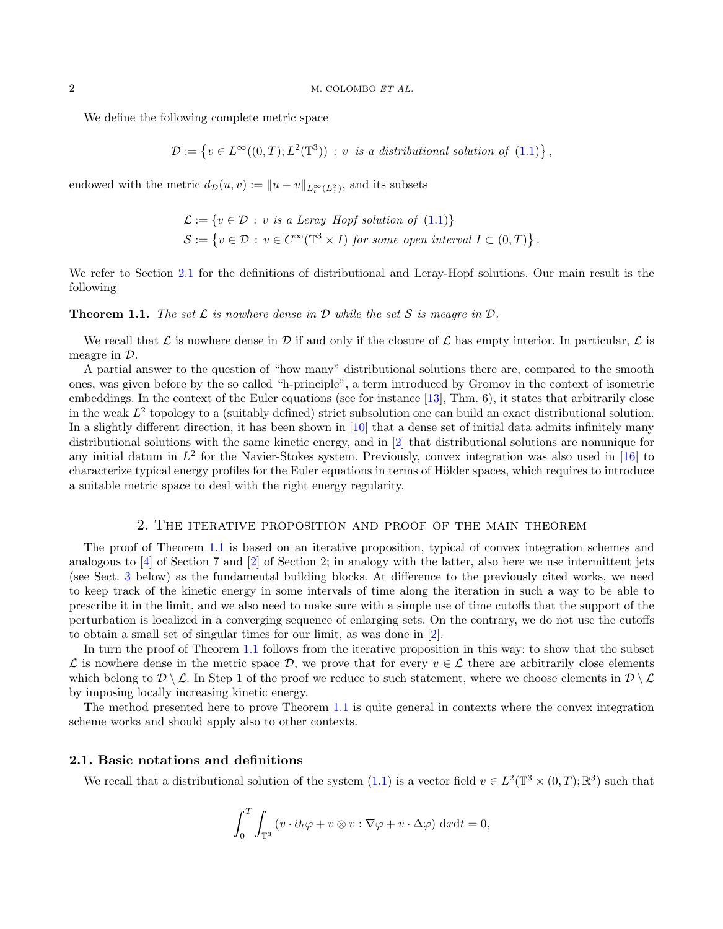We define the following complete metric space

$$
\mathcal{D} := \{ v \in L^{\infty}((0,T); L^{2}(\mathbb{T}^{3})) : v \text{ is a distributional solution of (1.1)} \},
$$

endowed with the metric  $d_{\mathcal{D}}(u, v) := ||u - v||_{L_t^{\infty}(L_x^2)}$ , and its subsets

$$
\mathcal{L} := \{ v \in \mathcal{D} : v \text{ is a } Leray-Hopf \text{ solution of } (1.1) \}
$$
  

$$
\mathcal{S} := \{ v \in \mathcal{D} : v \in C^{\infty}(\mathbb{T}^3 \times I) \text{ for some open interval } I \subset (0, T) \}.
$$

We refer to Section [2.1](#page-1-0) for the definitions of distributional and Leray-Hopf solutions. Our main result is the following

<span id="page-1-1"></span>**Theorem 1.1.** The set  $\mathcal L$  is nowhere dense in  $\mathcal D$  while the set  $\mathcal S$  is meagre in  $\mathcal D$ .

We recall that L is nowhere dense in D if and only if the closure of L has empty interior. In particular, L is meagre in D.

A partial answer to the question of "how many" distributional solutions there are, compared to the smooth ones, was given before by the so called "h-principle", a term introduced by Gromov in the context of isometric embeddings. In the context of the Euler equations (see for instance [\[13\]](#page-22-15), Thm. 6), it states that arbitrarily close in the weak  $L^2$  topology to a (suitably defined) strict subsolution one can build an exact distributional solution. In a slightly different direction, it has been shown in [\[10\]](#page-22-16) that a dense set of initial data admits infinitely many distributional solutions with the same kinetic energy, and in [\[2\]](#page-22-5) that distributional solutions are nonunique for any initial datum in  $L^2$  for the Navier-Stokes system. Previously, convex integration was also used in [\[16\]](#page-22-17) to characterize typical energy profiles for the Euler equations in terms of Hölder spaces, which requires to introduce a suitable metric space to deal with the right energy regularity.

## 2. The iterative proposition and proof of the main theorem

The proof of Theorem [1.1](#page-1-1) is based on an iterative proposition, typical of convex integration schemes and analogous to  $[4]$  of Section 7 and  $[2]$  of Section 2; in analogy with the latter, also here we use intermittent jets (see Sect. [3](#page-5-0) below) as the fundamental building blocks. At difference to the previously cited works, we need to keep track of the kinetic energy in some intervals of time along the iteration in such a way to be able to prescribe it in the limit, and we also need to make sure with a simple use of time cutoffs that the support of the perturbation is localized in a converging sequence of enlarging sets. On the contrary, we do not use the cutoffs to obtain a small set of singular times for our limit, as was done in [\[2\]](#page-22-5).

In turn the proof of Theorem [1.1](#page-1-1) follows from the iterative proposition in this way: to show that the subset  $\mathcal L$  is nowhere dense in the metric space  $\mathcal D$ , we prove that for every  $v \in \mathcal L$  there are arbitrarily close elements which belong to  $\mathcal{D}\setminus\mathcal{L}$ . In Step 1 of the proof we reduce to such statement, where we choose elements in  $\mathcal{D}\setminus\mathcal{L}$ . by imposing locally increasing kinetic energy.

The method presented here to prove Theorem [1.1](#page-1-1) is quite general in contexts where the convex integration scheme works and should apply also to other contexts.

## <span id="page-1-0"></span>2.1. Basic notations and definitions

We recall that a distributional solution of the system  $(1.1)$  is a vector field  $v \in L^2(\mathbb{T}^3 \times (0,T);\mathbb{R}^3)$  such that

$$
\int_0^T \int_{\mathbb{T}^3} \left( v \cdot \partial_t \varphi + v \otimes v : \nabla \varphi + v \cdot \Delta \varphi \right) dx dt = 0,
$$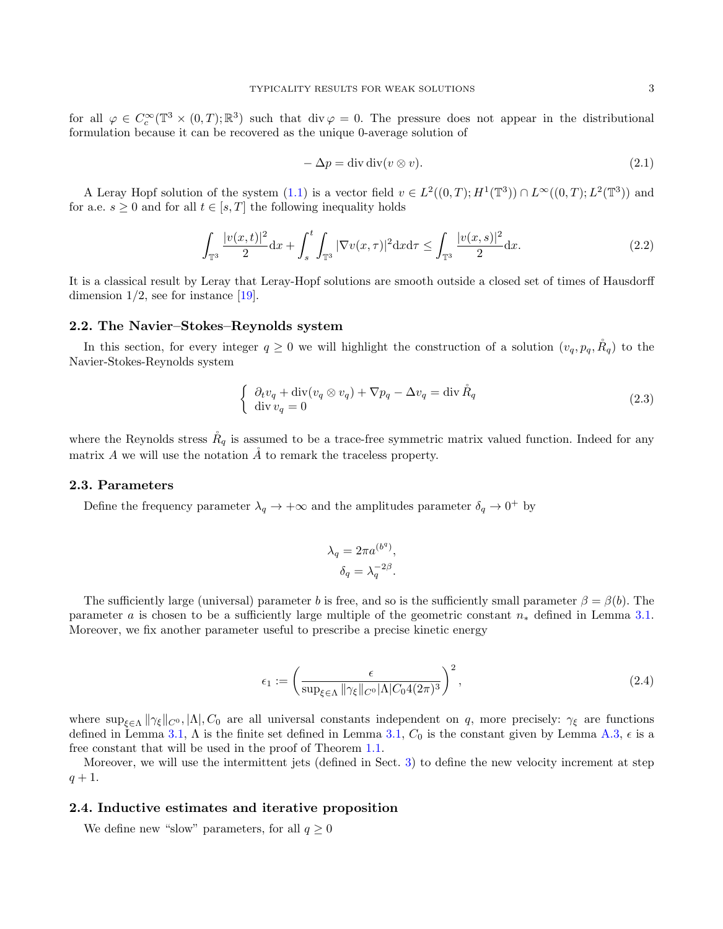for all  $\varphi \in C_c^{\infty}(\mathbb{T}^3 \times (0,T);\mathbb{R}^3)$  such that div  $\varphi = 0$ . The pressure does not appear in the distributional formulation because it can be recovered as the unique 0-average solution of

<span id="page-2-1"></span>
$$
-\Delta p = \text{div } \text{div}(v \otimes v). \tag{2.1}
$$

A Leray Hopf solution of the system  $(1.1)$  is a vector field  $v \in L^2((0,T); H^1(\mathbb{T}^3)) \cap L^\infty((0,T); L^2(\mathbb{T}^3))$  and for a.e.  $s \geq 0$  and for all  $t \in [s, T]$  the following inequality holds

$$
\int_{\mathbb{T}^3} \frac{|v(x,t)|^2}{2} dx + \int_s^t \int_{\mathbb{T}^3} |\nabla v(x,\tau)|^2 dx d\tau \le \int_{\mathbb{T}^3} \frac{|v(x,s)|^2}{2} dx.
$$
 (2.2)

It is a classical result by Leray that Leray-Hopf solutions are smooth outside a closed set of times of Hausdorff dimension  $1/2$ , see for instance [\[19\]](#page-22-18).

## 2.2. The Navier–Stokes–Reynolds system

In this section, for every integer  $q \geq 0$  we will highlight the construction of a solution  $(v_q, p_q, \tilde{R}_q)$  to the Navier-Stokes-Reynolds system

$$
\begin{cases} \partial_t v_q + \operatorname{div}(v_q \otimes v_q) + \nabla p_q - \Delta v_q = \operatorname{div} \mathring{R}_q \\ \operatorname{div} v_q = 0 \end{cases} \tag{2.3}
$$

where the Reynolds stress  $\hat{R}_q$  is assumed to be a trace-free symmetric matrix valued function. Indeed for any matrix  $A$  we will use the notation  $\AA$  to remark the traceless property.

## 2.3. Parameters

Define the frequency parameter  $\lambda_q \to +\infty$  and the amplitudes parameter  $\delta_q \to 0^+$  by

<span id="page-2-0"></span>
$$
\lambda_q = 2\pi a^{(b^q)},
$$
  

$$
\delta_q = \lambda_q^{-2\beta}.
$$

The sufficiently large (universal) parameter b is free, and so is the sufficiently small parameter  $\beta = \beta(b)$ . The parameter a is chosen to be a sufficiently large multiple of the geometric constant  $n_*$  defined in Lemma [3.1.](#page-5-1) Moreover, we fix another parameter useful to prescribe a precise kinetic energy

$$
\epsilon_1 := \left(\frac{\epsilon}{\sup_{\xi \in \Lambda} \|\gamma_{\xi}\|_{C^0} |\Lambda| C_0 4(2\pi)^3}\right)^2, \tag{2.4}
$$

where  $\sup_{\xi \in \Lambda} ||\gamma_{\xi}||_{C^0}, |\Lambda|, C_0$  are all universal constants independent on q, more precisely:  $\gamma_{\xi}$  are functions defined in Lemma [3.1,](#page-5-1)  $\Lambda$  is the finite set defined in Lemma 3.1,  $C_0$  is the constant given by Lemma [A.3,](#page-21-0)  $\epsilon$  is a free constant that will be used in the proof of Theorem [1.1.](#page-1-1)

Moreover, we will use the intermittent jets (defined in Sect. [3\)](#page-5-0) to define the new velocity increment at step  $q + 1.$ 

## 2.4. Inductive estimates and iterative proposition

We define new "slow" parameters, for all  $q \geq 0$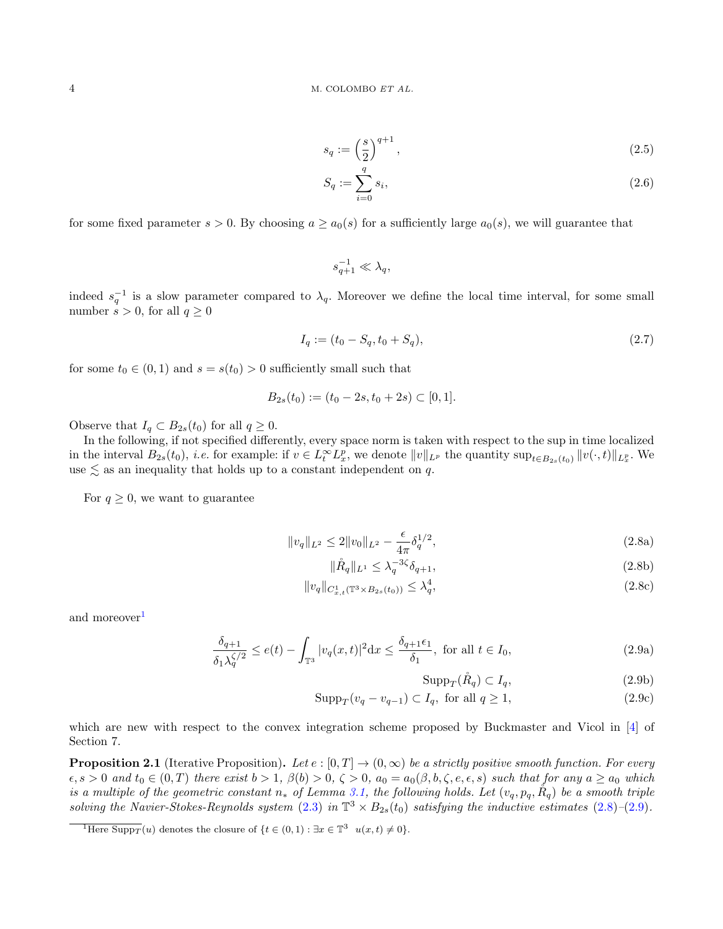$$
s_q := \left(\frac{s}{2}\right)^{q+1},\tag{2.5}
$$

$$
S_q := \sum_{i=0}^q s_i,\tag{2.6}
$$

for some fixed parameter  $s > 0$ . By choosing  $a > a_0(s)$  for a sufficiently large  $a_0(s)$ , we will guarantee that

$$
s_{q+1}^{-1} \ll \lambda_q,
$$

indeed  $s_q^{-1}$  is a slow parameter compared to  $\lambda_q$ . Moreover we define the local time interval, for some small number  $s > 0$ , for all  $q \geq 0$ 

$$
I_q := (t_0 - S_q, t_0 + S_q),\tag{2.7}
$$

for some  $t_0 \in (0,1)$  and  $s = s(t_0) > 0$  sufficiently small such that

$$
B_{2s}(t_0) := (t_0 - 2s, t_0 + 2s) \subset [0, 1].
$$

Observe that  $I_q \subset B_{2s}(t_0)$  for all  $q \geq 0$ .

In the following, if not specified differently, every space norm is taken with respect to the sup in time localized in the interval  $B_{2s}(t_0)$ , *i.e.* for example: if  $v \in L_t^{\infty} L_x^p$ , we denote  $||v||_{L^p}$  the quantity  $\sup_{t \in B_{2s}(t_0)} ||v(\cdot, t)||_{L_x^p}$ . We use  $\lesssim$  as an inequality that holds up to a constant independent on q.

<span id="page-3-1"></span>For  $q \geq 0$ , we want to guarantee

$$
||v_q||_{L^2} \le 2||v_0||_{L^2} - \frac{\epsilon}{4\pi} \delta_q^{1/2},\tag{2.8a}
$$

$$
\|\mathring{R}_q\|_{L^1} \le \lambda_q^{-3\zeta} \delta_{q+1},\tag{2.8b}
$$

$$
||v_q||_{C_{x,t}^1(\mathbb{T}^3 \times B_{2s}(t_0))} \le \lambda_q^4,\tag{2.8c}
$$

and moreover<sup>[1](#page-3-0)</sup>

<span id="page-3-2"></span>
$$
\frac{\delta_{q+1}}{\delta_1 \lambda_q^{\zeta/2}} \le e(t) - \int_{\mathbb{T}^3} |v_q(x,t)|^2 dx \le \frac{\delta_{q+1} \epsilon_1}{\delta_1}, \text{ for all } t \in I_0,
$$
\n(2.9a)

<span id="page-3-9"></span><span id="page-3-8"></span><span id="page-3-7"></span><span id="page-3-6"></span><span id="page-3-5"></span><span id="page-3-4"></span>
$$
Supp_T(\mathring{R}_q) \subset I_q,\tag{2.9b}
$$

$$
Supp_T(v_q - v_{q-1}) \subset I_q, \text{ for all } q \ge 1,
$$
\n
$$
(2.9c)
$$

which are new with respect to the convex integration scheme proposed by Buckmaster and Vicol in [\[4\]](#page-22-6) of Section 7.

<span id="page-3-3"></span>**Proposition 2.1** (Iterative Proposition). Let  $e : [0, T] \to (0, \infty)$  be a strictly positive smooth function. For every  $\epsilon, s > 0$  and  $t_0 \in (0,T)$  there exist  $b > 1$ ,  $\beta(b) > 0$ ,  $\zeta > 0$ ,  $a_0 = a_0(\beta, b, \zeta, e, \epsilon, s)$  such that for any  $a \ge a_0$  which is a multiple of the geometric constant  $n_*$  of Lemma [3.1,](#page-5-1) the following holds. Let  $(v_q, p_q, \mathring{R}_q)$  be a smooth triple solving the Navier-Stokes-Reynolds system [\(2.3\)](#page-2-0) in  $\mathbb{T}^3 \times B_{2s}(t_0)$  satisfying the inductive estimates [\(2.8\)](#page-3-1)-[\(2.9\)](#page-3-2).

<span id="page-3-0"></span><sup>&</sup>lt;sup>1</sup>Here Supp<sub>T</sub> (*u*) denotes the closure of  $\{t \in (0,1) : \exists x \in \mathbb{T}^3 \mid u(x,t) \neq 0\}.$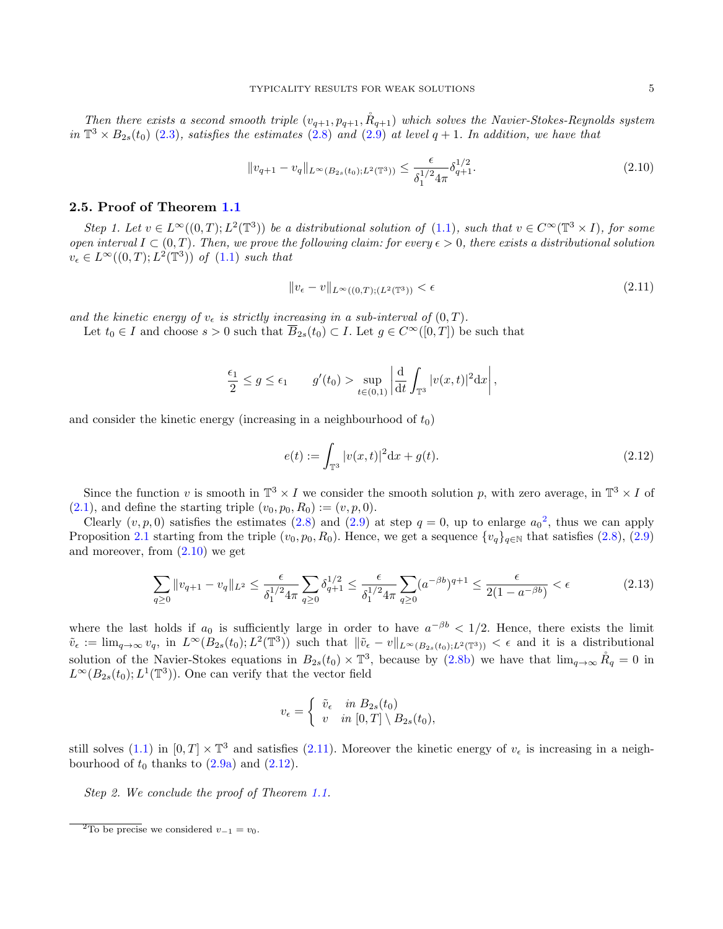Then there exists a second smooth triple  $(v_{q+1}, p_{q+1}, \mathring{R}_{q+1})$  which solves the Navier-Stokes-Reynolds system in  $\mathbb{T}^3 \times B_{2s}(t_0)$  [\(2.3\)](#page-2-0), satisfies the estimates [\(2.8\)](#page-3-1) and [\(2.9\)](#page-3-2) at level  $q+1$ . In addition, we have that

$$
||v_{q+1} - v_q||_{L^{\infty}(B_{2s}(t_0); L^2(\mathbb{T}^3))} \le \frac{\epsilon}{\delta_1^{1/2} 4\pi} \delta_{q+1}^{1/2}.
$$
\n(2.10)

## 2.5. Proof of Theorem [1.1](#page-1-1)

Step 1. Let  $v \in L^{\infty}((0,T); L^{2}(\mathbb{T}^{3}))$  be a distributional solution of  $(1.1)$ , such that  $v \in C^{\infty}(\mathbb{T}^{3} \times I)$ , for some open interval  $I \subset (0,T)$ . Then, we prove the following claim: for every  $\epsilon > 0$ , there exists a distributional solution  $v_{\epsilon} \in L^{\infty}((0,T); L^2(\mathbb{T}^3))$  of  $(1.1)$  such that

<span id="page-4-2"></span><span id="page-4-1"></span>
$$
||v_{\epsilon} - v||_{L^{\infty}((0,T);(L^2(\mathbb{T}^3))} < \epsilon \tag{2.11}
$$

and the kinetic energy of  $v_{\epsilon}$  is strictly increasing in a sub-interval of  $(0, T)$ .

Let  $t_0 \in I$  and choose  $s > 0$  such that  $\overline{B}_{2s}(t_0) \subset I$ . Let  $g \in C^{\infty}([0,T])$  be such that

$$
\frac{\epsilon_1}{2} \le g \le \epsilon_1 \qquad g'(t_0) > \sup_{t \in (0,1)} \left| \frac{d}{dt} \int_{\mathbb{T}^3} |v(x,t)|^2 dx \right|,
$$

and consider the kinetic energy (increasing in a neighbourhood of  $t_0$ )

<span id="page-4-3"></span>
$$
e(t) := \int_{\mathbb{T}^3} |v(x,t)|^2 dx + g(t).
$$
 (2.12)

Since the function v is smooth in  $\mathbb{T}^3 \times I$  we consider the smooth solution p, with zero average, in  $\mathbb{T}^3 \times I$  of  $(2.1)$ , and define the starting triple  $(v_0, p_0, R_0) := (v, p, 0)$ .

Clearly  $(v, p, 0)$  satisfies the estimates [\(2.8\)](#page-3-1) and [\(2.9\)](#page-3-2) at step  $q = 0$ , up to enlarge  $a_0^2$  $a_0^2$ , thus we can apply Proposition [2.1](#page-3-3) starting from the triple  $(v_0, p_0, R_0)$ . Hence, we get a sequence  $\{v_q\}_{q\in\mathbb{N}}$  that satisfies  $(2.8), (2.9)$  $(2.8), (2.9)$  $(2.8), (2.9)$ and moreover, from [\(2.10\)](#page-4-1) we get

$$
\sum_{q\geq 0} \|v_{q+1} - v_q\|_{L^2} \leq \frac{\epsilon}{\delta_1^{1/2} 4\pi} \sum_{q\geq 0} \delta_{q+1}^{1/2} \leq \frac{\epsilon}{\delta_1^{1/2} 4\pi} \sum_{q\geq 0} (a^{-\beta b})^{q+1} \leq \frac{\epsilon}{2(1 - a^{-\beta b})} < \epsilon
$$
\n(2.13)

where the last holds if  $a_0$  is sufficiently large in order to have  $a^{-\beta b} < 1/2$ . Hence, there exists the limit  $\tilde{v}_{\epsilon} := \lim_{q \to \infty} v_q$ , in  $L^{\infty}(B_{2s}(t_0); L^2(\mathbb{T}^3))$  such that  $\|\tilde{v}_{\epsilon} - v\|_{L^{\infty}(B_{2s}(t_0); L^2(\mathbb{T}^3))} < \epsilon$  and it is a distributional solution of the Navier-Stokes equations in  $B_{2s}(t_0) \times \mathbb{T}^3$ , because by [\(2.8b\)](#page-3-4) we have that  $\lim_{q\to\infty} \mathring{R}_q = 0$  in  $L^{\infty}(B_{2s}(t_0); L^{1}(\mathbb{T}^{3}))$ . One can verify that the vector field

$$
v_{\epsilon} = \begin{cases} \tilde{v}_{\epsilon} & \text{in } B_{2s}(t_0) \\ v & \text{in } [0, T] \setminus B_{2s}(t_0), \end{cases}
$$

still solves [\(1.1\)](#page-0-1) in  $[0, T] \times \mathbb{T}^3$  and satisfies [\(2.11\)](#page-4-2). Moreover the kinetic energy of  $v_{\epsilon}$  is increasing in a neighbourhood of  $t_0$  thanks to  $(2.9a)$  and  $(2.12)$ .

Step 2. We conclude the proof of Theorem [1.1.](#page-1-1)

<span id="page-4-0"></span><sup>&</sup>lt;sup>2</sup>To be precise we considered  $v_{-1} = v_0$ .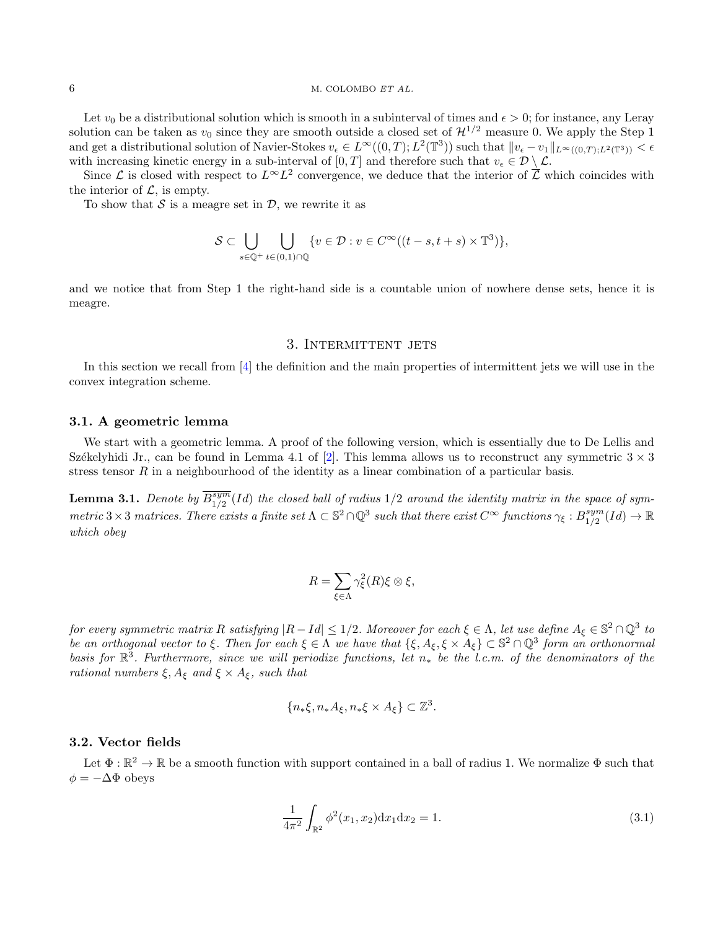#### 6 M. COLOMBO ET AL.

Let  $v_0$  be a distributional solution which is smooth in a subinterval of times and  $\epsilon > 0$ ; for instance, any Leray solution can be taken as  $v_0$  since they are smooth outside a closed set of  $\mathcal{H}^{1/2}$  measure 0. We apply the Step 1 and get a distributional solution of Navier-Stokes  $v_{\epsilon} \in L^{\infty}((0,T); L^{2}(\mathbb{T}^{3}))$  such that  $||v_{\epsilon} - v_{1}||_{L^{\infty}((0,T); L^{2}(\mathbb{T}^{3}))} < \epsilon$ with increasing kinetic energy in a sub-interval of [0, T] and therefore such that  $v_{\epsilon} \in \mathcal{D} \setminus \mathcal{L}$ .

Since  $\mathcal L$  is closed with respect to  $L^{\infty}L^2$  convergence, we deduce that the interior of  $\overline{\mathcal L}$  which coincides with the interior of  $\mathcal{L}$ , is empty.

To show that  $S$  is a meagre set in  $D$ , we rewrite it as

$$
\mathcal{S} \subset \bigcup_{s \in \mathbb{Q}^+} \bigcup_{t \in (0,1) \cap \mathbb{Q}} \{v \in \mathcal{D} : v \in C^\infty((t-s,t+s) \times \mathbb{T}^3)\},\
$$

and we notice that from Step 1 the right-hand side is a countable union of nowhere dense sets, hence it is meagre.

## 3. INTERMITTENT JETS

<span id="page-5-0"></span>In this section we recall from [\[4\]](#page-22-6) the definition and the main properties of intermittent jets we will use in the convex integration scheme.

## 3.1. A geometric lemma

We start with a geometric lemma. A proof of the following version, which is essentially due to De Lellis and Székelyhidi Jr., can be found in Lemma 4.1 of [\[2\]](#page-22-5). This lemma allows us to reconstruct any symmetric  $3 \times 3$ stress tensor  $R$  in a neighbourhood of the identity as a linear combination of a particular basis.

<span id="page-5-1"></span>**Lemma 3.1.** Denote by  $\overline{B^{sym}_{1/2}}$  $\frac{sym}{1/2}(Id)$  the closed ball of radius  $1/2$  around the identity matrix in the space of symmetric 3 × 3 matrices. There exists a finite set  $\Lambda \subset \mathbb{S}^2 \cap \mathbb{Q}^3$  such that there exist  $C^{\infty}$  functions  $\gamma_{\xi}: B_{1/2}^{sym}$  $\lim_{1/2}^{sym}(Id)\to\mathbb{R}$ which obey

$$
R = \sum_{\xi \in \Lambda} \gamma_{\xi}^{2}(R) \xi \otimes \xi,
$$

for every symmetric matrix R satisfying  $|R - Id| \leq 1/2$ . Moreover for each  $\xi \in \Lambda$ , let use define  $A_{\xi} \in \mathbb{S}^2 \cap \mathbb{Q}^3$  to be an orthogonal vector to  $\xi$ . Then for each  $\xi \in \Lambda$  we have that  $\{\xi, A_{\xi}, \xi \times A_{\xi}\} \subset \mathbb{S}^2 \cap \mathbb{Q}^3$  form an orthonormal basis for  $\mathbb{R}^3$ . Furthermore, since we will periodize functions, let  $n_*$  be the l.c.m. of the denominators of the rational numbers  $\xi, A_{\xi}$  and  $\xi \times A_{\xi}$ , such that

$$
\{n_*\xi, n_*A_\xi, n_*\xi \times A_\xi\} \subset \mathbb{Z}^3.
$$

# 3.2. Vector fields

Let  $\Phi: \mathbb{R}^2 \to \mathbb{R}$  be a smooth function with support contained in a ball of radius 1. We normalize  $\Phi$  such that  $\phi = -\Delta \Phi$  obeys

$$
\frac{1}{4\pi^2} \int_{\mathbb{R}^2} \phi^2(x_1, x_2) \mathrm{d}x_1 \mathrm{d}x_2 = 1.
$$
 (3.1)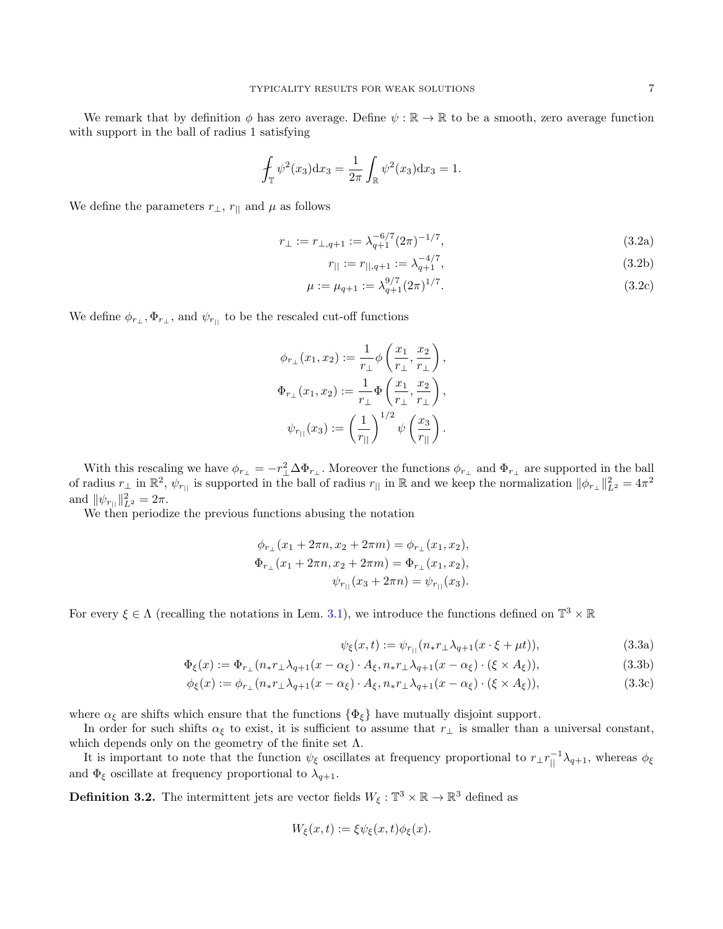We remark that by definition  $\phi$  has zero average. Define  $\psi : \mathbb{R} \to \mathbb{R}$  to be a smooth, zero average function with support in the ball of radius 1 satisfying

$$
\oint_{\mathbb{T}} \psi^2(x_3) dx_3 = \frac{1}{2\pi} \int_{\mathbb{R}} \psi^2(x_3) dx_3 = 1.
$$

We define the parameters  $r_{\perp}$ ,  $r_{\parallel}$  and  $\mu$  as follows

$$
r_{\perp} := r_{\perp, q+1} := \lambda_{q+1}^{-6/7} (2\pi)^{-1/7}, \tag{3.2a}
$$

<span id="page-6-0"></span>
$$
r_{||} := r_{||,q+1} := \lambda_{q+1}^{-4/7},\tag{3.2b}
$$

$$
\mu := \mu_{q+1} := \lambda_{q+1}^{9/7} (2\pi)^{1/7}.
$$
\n(3.2c)

We define  $\phi_{r_\perp}, \Phi_{r_\perp}$ , and  $\psi_{r_{\parallel}}$  to be the rescaled cut-off functions

$$
\phi_{r_{\perp}}(x_1, x_2) := \frac{1}{r_{\perp}} \phi \left( \frac{x_1}{r_{\perp}}, \frac{x_2}{r_{\perp}} \right),
$$
  

$$
\Phi_{r_{\perp}}(x_1, x_2) := \frac{1}{r_{\perp}} \Phi \left( \frac{x_1}{r_{\perp}}, \frac{x_2}{r_{\perp}} \right),
$$
  

$$
\psi_{r_{||}}(x_3) := \left( \frac{1}{r_{||}} \right)^{1/2} \psi \left( \frac{x_3}{r_{||}} \right).
$$

With this rescaling we have  $\phi_{r\perp} = -r_{\perp}^2 \Delta \Phi_{r\perp}$ . Moreover the functions  $\phi_{r\perp}$  and  $\Phi_{r\perp}$  are supported in the ball of radius  $r_{\perp}$  in  $\mathbb{R}^2$ ,  $\psi_{r_{||}}$  is supported in the ball of radius  $r_{||}$  in  $\mathbb{R}$  and we keep the normalization  $\|\phi_{r_{\perp}}\|_{L^2}^2 = 4\pi^2$ and  $\|\psi_{r_{||}}\|_{L^2}^2 = 2\pi$ .

We then periodize the previous functions abusing the notation

$$
\phi_{r_{\perp}}(x_1 + 2\pi n, x_2 + 2\pi m) = \phi_{r_{\perp}}(x_1, x_2),
$$
  

$$
\Phi_{r_{\perp}}(x_1 + 2\pi n, x_2 + 2\pi m) = \Phi_{r_{\perp}}(x_1, x_2),
$$
  

$$
\psi_{r_{\parallel}}(x_3 + 2\pi n) = \psi_{r_{\parallel}}(x_3).
$$

For every  $\xi \in \Lambda$  (recalling the notations in Lem. [3.1\)](#page-5-1), we introduce the functions defined on  $\mathbb{T}^3 \times \mathbb{R}$ 

$$
\psi_{\xi}(x,t) := \psi_{r_{||}}(n_* r_{\perp} \lambda_{q+1}(x \cdot \xi + \mu t)), \tag{3.3a}
$$

$$
\Phi_{\xi}(x) := \Phi_{r_{\perp}}(n_{*}r_{\perp}\lambda_{q+1}(x-\alpha_{\xi}) \cdot A_{\xi}, n_{*}r_{\perp}\lambda_{q+1}(x-\alpha_{\xi}) \cdot (\xi \times A_{\xi})),
$$
\n(3.3b)

$$
\phi_{\xi}(x) := \phi_{r_{\perp}}(n_{*}r_{\perp}\lambda_{q+1}(x-\alpha_{\xi}) \cdot A_{\xi}, n_{*}r_{\perp}\lambda_{q+1}(x-\alpha_{\xi}) \cdot (\xi \times A_{\xi})), \tag{3.3c}
$$

where  $\alpha_{\xi}$  are shifts which ensure that the functions  $\{\Phi_{\xi}\}\$  have mutually disjoint support.

In order for such shifts  $\alpha_{\xi}$  to exist, it is sufficient to assume that  $r_{\perp}$  is smaller than a universal constant, which depends only on the geometry of the finite set  $\Lambda$ .

It is important to note that the function  $\psi_{\xi}$  oscillates at frequency proportional to  $r_{\perp}r_{||}^{-1}\lambda_{q+1}$ , whereas  $\phi_{\xi}$ and  $\Phi_{\xi}$  oscillate at frequency proportional to  $\lambda_{q+1}$ .

**Definition 3.2.** The intermittent jets are vector fields  $W_{\xi}: \mathbb{T}^3 \times \mathbb{R} \to \mathbb{R}^3$  defined as

$$
W_{\xi}(x,t) := \xi \psi_{\xi}(x,t) \phi_{\xi}(x).
$$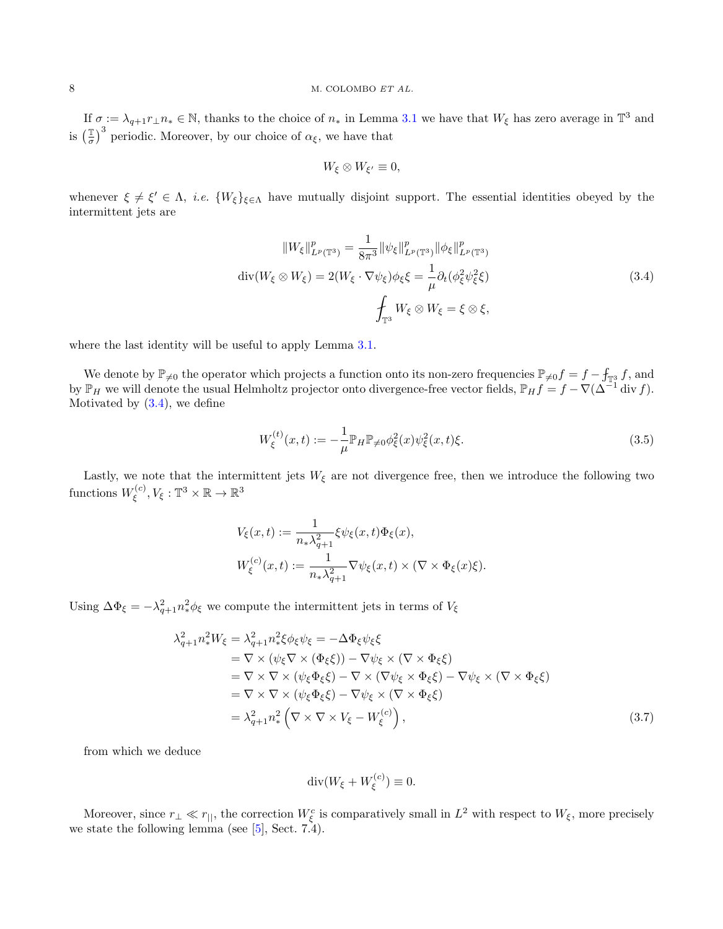If  $\sigma := \lambda_{q+1} r_\perp n_* \in \mathbb{N}$ , thanks to the choice of  $n_*$  in Lemma [3.1](#page-5-1) we have that  $W_\xi$  has zero average in  $\mathbb{T}^3$  and is  $\left(\frac{\mathbb{T}}{\sigma}\right)$  $\left(\frac{\mathbb{T}}{\sigma}\right)^3$  periodic. Moreover, by our choice of  $\alpha_{\xi}$ , we have that

<span id="page-7-0"></span>
$$
W_{\xi} \otimes W_{\xi'} \equiv 0,
$$

whenever  $\xi \neq \xi' \in \Lambda$ , *i.e.*  $\{W_{\xi}\}_{\xi \in \Lambda}$  have mutually disjoint support. The essential identities obeyed by the intermittent jets are

$$
||W_{\xi}||_{L^{p}(\mathbb{T}^{3})}^{p} = \frac{1}{8\pi^{3}} ||\psi_{\xi}||_{L^{p}(\mathbb{T}^{3})}^{p} ||\phi_{\xi}||_{L^{p}(\mathbb{T}^{3})}^{p}
$$

$$
\operatorname{div}(W_{\xi} \otimes W_{\xi}) = 2(W_{\xi} \cdot \nabla \psi_{\xi})\phi_{\xi}\xi = \frac{1}{\mu}\partial_{t}(\phi_{\xi}^{2}\psi_{\xi}^{2}\xi)
$$

$$
\oint_{\mathbb{T}^{3}} W_{\xi} \otimes W_{\xi} = \xi \otimes \xi,
$$
(3.4)

where the last identity will be useful to apply Lemma [3.1.](#page-5-1)

We denote by  $\mathbb{P}_{\neq 0}$  the operator which projects a function onto its non-zero frequencies  $\mathbb{P}_{\neq 0}f = f - f_{\mathbb{T}^3}f$ , and by  $\mathbb{P}_H$  we will denote the usual Helmholtz projector onto divergence-free vector fields,  $\mathbb{P}_H f = f - \nabla (\Delta^{-1} \text{div } f)$ . Motivated by  $(3.4)$ , we define

<span id="page-7-2"></span>
$$
W_{\xi}^{(t)}(x,t) := -\frac{1}{\mu} \mathbb{P}_{H} \mathbb{P}_{\neq 0} \phi_{\xi}^{2}(x) \psi_{\xi}^{2}(x,t) \xi.
$$
 (3.5)

Lastly, we note that the intermittent jets  $W_{\xi}$  are not divergence free, then we introduce the following two functions  $W_{\xi}^{(c)}$  $\mathcal{F}^{(c)}_\xi, V_\xi: \mathbb{T}^3 \times \mathbb{R} \to \mathbb{R}^3$ 

$$
V_{\xi}(x,t) := \frac{1}{n_{*}\lambda_{q+1}^{2}} \xi \psi_{\xi}(x,t) \Phi_{\xi}(x),
$$
  

$$
W_{\xi}^{(c)}(x,t) := \frac{1}{n_{*}\lambda_{q+1}^{2}} \nabla \psi_{\xi}(x,t) \times (\nabla \times \Phi_{\xi}(x)\xi).
$$

Using  $\Delta \Phi_{\xi} = -\lambda_{q+1}^2 n_*^2 \phi_{\xi}$  we compute the intermittent jets in terms of  $V_{\xi}$ 

$$
\lambda_{q+1}^2 n_*^2 W_{\xi} = \lambda_{q+1}^2 n_*^2 \xi \phi_{\xi} \psi_{\xi} = -\Delta \Phi_{\xi} \psi_{\xi} \xi
$$
  
\n
$$
= \nabla \times (\psi_{\xi} \nabla \times (\Phi_{\xi} \xi)) - \nabla \psi_{\xi} \times (\nabla \times \Phi_{\xi} \xi)
$$
  
\n
$$
= \nabla \times \nabla \times (\psi_{\xi} \Phi_{\xi} \xi) - \nabla \times (\nabla \psi_{\xi} \times \Phi_{\xi} \xi) - \nabla \psi_{\xi} \times (\nabla \times \Phi_{\xi} \xi)
$$
  
\n
$$
= \nabla \times \nabla \times (\psi_{\xi} \Phi_{\xi} \xi) - \nabla \psi_{\xi} \times (\nabla \times \Phi_{\xi} \xi)
$$
  
\n
$$
= \lambda_{q+1}^2 n_*^2 \left( \nabla \times \nabla \times V_{\xi} - W_{\xi}^{(c)} \right),
$$
\n(3.7)

from which we deduce

<span id="page-7-1"></span>
$$
\operatorname{div}(W_{\xi} + W_{\xi}^{(c)}) \equiv 0.
$$

Moreover, since  $r_{\perp} \ll r_{||}$ , the correction  $W_{\xi}^{c}$  is comparatively small in  $L^{2}$  with respect to  $W_{\xi}$ , more precisely we state the following lemma (see [\[5\]](#page-22-19), Sect. 7.4).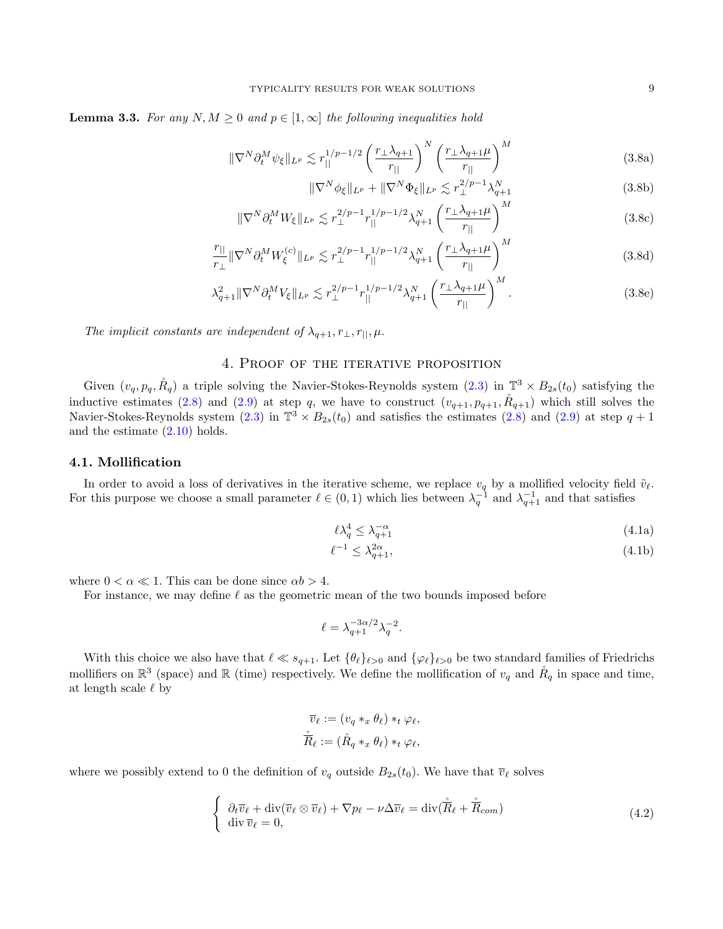<span id="page-8-2"></span>**Lemma 3.3.** For any  $N, M \geq 0$  and  $p \in [1, \infty]$  the following inequalities hold

$$
\|\nabla^N \partial_t^M \psi_{\xi}\|_{L^p} \lesssim r_{||}^{1/p - 1/2} \left(\frac{r_{\perp} \lambda_{q+1}}{r_{||}}\right)^N \left(\frac{r_{\perp} \lambda_{q+1} \mu}{r_{||}}\right)^M \tag{3.8a}
$$

<span id="page-8-1"></span>
$$
\|\nabla^N \phi_{\xi}\|_{L^p} + \|\nabla^N \Phi_{\xi}\|_{L^p} \lesssim r_{\perp}^{2/p-1} \lambda_{q+1}^N
$$
\n(3.8b)

$$
\|\nabla^N\partial_t^M W_{\xi}\|_{L^p} \lesssim r_\perp^{2/p-1} r_{||}^{1/p-1/2} \lambda_{q+1}^N \left(\frac{r_\perp \lambda_{q+1} \mu}{r_{||}}\right)^M \tag{3.8c}
$$

$$
\frac{r_{||}}{r_{\perp}} \|\nabla^N \partial_t^M W_{\xi}^{(c)}\|_{L^p} \lesssim r_{\perp}^{2/p-1} r_{||}^{1/p-1/2} \lambda_{q+1}^N \left(\frac{r_{\perp} \lambda_{q+1} \mu}{r_{||}}\right)^M \tag{3.8d}
$$

$$
\lambda_{q+1}^2 \|\nabla^N \partial_t^M V_{\xi}\|_{L^p} \lesssim r_{\perp}^{2/p-1} r_{||}^{1/p-1/2} \lambda_{q+1}^N \left(\frac{r_{\perp} \lambda_{q+1} \mu}{r_{||}}\right)^M. \tag{3.8e}
$$

The implicit constants are independent of  $\lambda_{q+1}, r_{\perp}, r_{\parallel}, \mu$ .

# 4. Proof of the iterative proposition

Given  $(v_q, p_q, \mathring{R}_q)$  a triple solving the Navier-Stokes-Reynolds system  $(2.3)$  in  $\mathbb{T}^3 \times B_{2s}(t_0)$  satisfying the inductive estimates [\(2.8\)](#page-3-1) and [\(2.9\)](#page-3-2) at step q, we have to construct  $(v_{q+1}, p_{q+1}, \mathring{R}_{q+1})$  which still solves the Navier-Stokes-Reynolds system  $(2.3)$  in  $\mathbb{T}^3 \times B_{2s}(t_0)$  and satisfies the estimates  $(2.8)$  and  $(2.9)$  at step  $q + 1$ and the estimate [\(2.10\)](#page-4-1) holds.

## 4.1. Mollification

In order to avoid a loss of derivatives in the iterative scheme, we replace  $v_q$  by a mollified velocity field  $\tilde{v}_\ell$ . For this purpose we choose a small parameter  $\ell \in (0,1)$  which lies between  $\lambda_q^{-1}$  and  $\lambda_{q+1}^{-1}$  and that satisfies

<span id="page-8-3"></span>
$$
\ell \lambda_q^4 \le \lambda_{q+1}^{-\alpha} \tag{4.1a}
$$

$$
\ell^{-1} \le \lambda_{q+1}^{2\alpha},\tag{4.1b}
$$

where  $0 < \alpha \ll 1$ . This can be done since  $\alpha b > 4$ .

For instance, we may define  $\ell$  as the geometric mean of the two bounds imposed before

$$
\ell = \lambda_{q+1}^{-3\alpha/2} \lambda_q^{-2}.
$$

With this choice we also have that  $\ell \ll s_{q+1}$ . Let  $\{\theta_\ell\}_{\ell>0}$  and  $\{\varphi_\ell\}_{\ell>0}$  be two standard families of Friedrichs mollifiers on  $\mathbb{R}^3$  (space) and  $\mathbb R$  (time) respectively. We define the mollification of  $v_q$  and  $\mathring{R}_q$  in space and time, at length scale  $\ell$  by

<span id="page-8-0"></span>
$$
\overline{v}_{\ell} := (v_q *_x \theta_{\ell}) *_t \varphi_{\ell},
$$
  

$$
\dot{\overline{R}}_{\ell} := (\mathring{R}_q *_x \theta_{\ell}) *_t \varphi_{\ell},
$$

where we possibly extend to 0 the definition of  $v_q$  outside  $B_{2s}(t_0)$ . We have that  $\overline{v}_\ell$  solves

$$
\begin{cases} \n\partial_t \overline{v}_\ell + \operatorname{div}(\overline{v}_\ell \otimes \overline{v}_\ell) + \nabla p_\ell - \nu \Delta \overline{v}_\ell = \operatorname{div}(\mathring{\overline{R}}_\ell + \mathring{\overline{R}}_{com})\\ \n\operatorname{div} \overline{v}_\ell = 0, \n\end{cases} \n\tag{4.2}
$$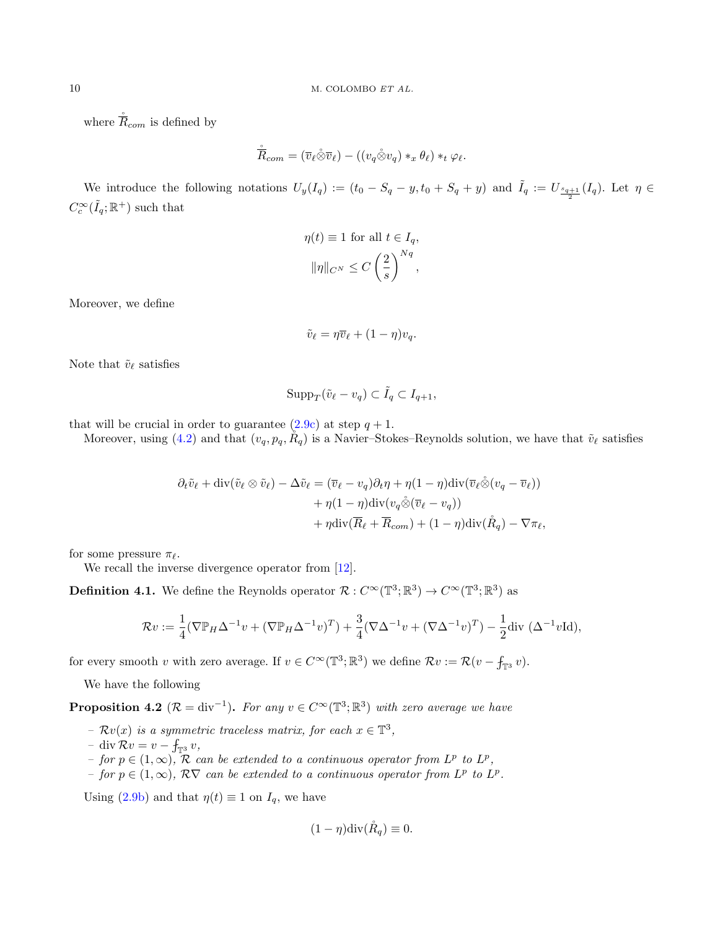where  $\overline{R}_{com}$  is defined by

$$
\hat{\overline{R}}_{com}=(\overline{v}_{\ell}\hat{\otimes}\overline{v}_{\ell})-((v_q\hat{\otimes} v_q)*_x\theta_{\ell})*_t\varphi_{\ell}.
$$

We introduce the following notations  $U_y(I_q) := (t_0 - S_q - y, t_0 + S_q + y)$  and  $\tilde{I}_q := U_{\frac{s_{q+1}}{2}}(I_q)$ . Let  $\eta \in$  $C_c^{\infty}(\tilde{I}_q; \mathbb{R}^+)$  such that

$$
\eta(t) \equiv 1 \text{ for all } t \in I_q,
$$

$$
\|\eta\|_{C^N} \le C\left(\frac{2}{s}\right)^{Nq},
$$

Moreover, we define

$$
\tilde{v}_{\ell} = \eta \overline{v}_{\ell} + (1 - \eta) v_q.
$$

Note that  $\tilde{v}_{\ell}$  satisfies

$$
\mathrm{Supp}_T(\tilde{v}_\ell - v_q) \subset \tilde{I}_q \subset I_{q+1},
$$

that will be crucial in order to guarantee  $(2.9c)$  at step  $q + 1$ .

Moreover, using [\(4.2\)](#page-8-0) and that  $(v_q, p_q, R_q)$  is a Navier–Stokes–Reynolds solution, we have that  $\tilde{v}_\ell$  satisfies

$$
\partial_t \tilde{v}_\ell + \operatorname{div}(\tilde{v}_\ell \otimes \tilde{v}_\ell) - \Delta \tilde{v}_\ell = (\overline{v}_\ell - v_q)\partial_t \eta + \eta(1 - \eta) \operatorname{div}(\overline{v}_\ell \tilde{\otimes} (v_q - \overline{v}_\ell)) + \eta(1 - \eta) \operatorname{div} (v_q \tilde{\otimes} (\overline{v}_\ell - v_q)) + \eta \operatorname{div}(\overline{R}_\ell + \overline{R}_{com}) + (1 - \eta) \operatorname{div}(\mathring{R}_q) - \nabla \pi_\ell,
$$

for some pressure  $\pi_{\ell}$ .

We recall the inverse divergence operator from [\[12\]](#page-22-1).

**Definition 4.1.** We define the Reynolds operator  $\mathcal{R}: C^{\infty}(\mathbb{T}^3; \mathbb{R}^3) \to C^{\infty}(\mathbb{T}^3; \mathbb{R}^3)$  as

$$
\mathcal{R}v:=\frac{1}{4}(\nabla \mathbb{P}_{H}\Delta^{-1}v+(\nabla \mathbb{P}_{H}\Delta^{-1}v)^{T})+\frac{3}{4}(\nabla \Delta^{-1}v+(\nabla \Delta^{-1}v)^{T})-\frac{1}{2}\text{div }(\Delta^{-1}v\text{Id}),
$$

for every smooth v with zero average. If  $v \in C^{\infty}(\mathbb{T}^3; \mathbb{R}^3)$  we define  $\mathcal{R}v := \mathcal{R}(v - f_{\mathbb{T}^3}v)$ .

We have the following

<span id="page-9-0"></span>**Proposition 4.2** ( $\mathcal{R} = \text{div}^{-1}$ ). For any  $v \in C^{\infty}(\mathbb{T}^3; \mathbb{R}^3)$  with zero average we have

- $\mathcal{R}v(x)$  is a symmetric traceless matrix, for each  $x \in \mathbb{T}^3$ ,
- $-$  div  $\mathcal{R}v = v f_{\mathbb{T}^3}v$ ,
- for  $p \in (1, \infty)$ , R can be extended to a continuous operator from L<sup>p</sup> to L<sup>p</sup>,
- for  $p \in (1,\infty)$ ,  $\mathcal{R}\nabla$  can be extended to a continuous operator from  $L^p$  to  $L^p$ .

Using [\(2.9b\)](#page-3-7) and that  $\eta(t) \equiv 1$  on  $I_q$ , we have

$$
(1 - \eta) \operatorname{div}(\mathring{R}_q) \equiv 0.
$$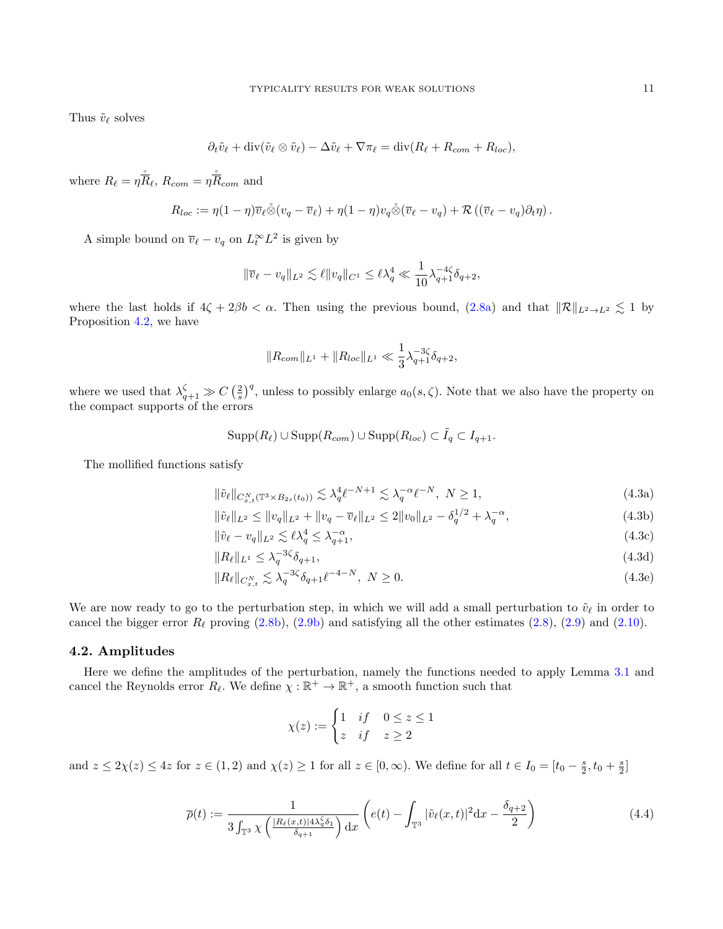Thus  $\tilde{v}_\ell$  solves

$$
\partial_t \tilde{v}_\ell + \operatorname{div}(\tilde{v}_\ell \otimes \tilde{v}_\ell) - \Delta \tilde{v}_\ell + \nabla \pi_\ell = \operatorname{div}(R_\ell + R_{com} + R_{loc}),
$$

where  $R_{\ell} = \eta \hat{\overline{R}}_{\ell}, R_{com} = \eta \hat{\overline{R}}_{com}$  and

$$
R_{loc} := \eta(1-\eta)\overline{v}_{\ell}\hat{\otimes}(v_q - \overline{v}_{\ell}) + \eta(1-\eta)v_q\hat{\otimes}(\overline{v}_{\ell}-v_q) + \mathcal{R}\left((\overline{v}_{\ell}-v_q)\partial_t\eta\right).
$$

A simple bound on  $\overline{v}_{\ell} - v_q$  on  $L_t^{\infty} L^2$  is given by

$$
\|\overline{v}_{\ell} - v_q\|_{L^2} \lesssim \ell \|v_q\|_{C^1} \le \ell \lambda_q^4 \ll \frac{1}{10} \lambda_{q+1}^{-4\zeta} \delta_{q+2},
$$

where the last holds if  $4\zeta + 2\beta b < \alpha$ . Then using the previous bound,  $(2.8a)$  and that  $\|\mathcal{R}\|_{L^2 \to L^2} \lesssim 1$  by Proposition [4.2,](#page-9-0) we have

<span id="page-10-2"></span>
$$
||R_{com}||_{L^1} + ||R_{loc}||_{L^1} \ll \frac{1}{3} \lambda_{q+1}^{-3\zeta} \delta_{q+2},
$$

where we used that  $\lambda_{q+1}^{\zeta} \gg C\left(\frac{2}{s}\right)^q$ , unless to possibly enlarge  $a_0(s,\zeta)$ . Note that we also have the property on the compact supports of the errors

<span id="page-10-1"></span>
$$
Supp(R_{\ell}) \cup Supp(R_{com}) \cup Supp(R_{loc}) \subset \tilde{I}_q \subset I_{q+1}.
$$

The mollified functions satisfy

$$
\|\tilde{v}_{\ell}\|_{C_{x,t}^N(\mathbb{T}^3 \times B_{2s}(t_0))} \lesssim \lambda_q^4 \ell^{-N+1} \lesssim \lambda_q^{-\alpha} \ell^{-N}, \ N \ge 1,
$$
\n(4.3a)

$$
\|\tilde{v}_{\ell}\|_{L^2} \le \|v_q\|_{L^2} + \|v_q - \overline{v}_{\ell}\|_{L^2} \le 2\|v_0\|_{L^2} - \delta_q^{1/2} + \lambda_q^{-\alpha},\tag{4.3b}
$$

$$
\|\tilde{v}_{\ell} - v_q\|_{L^2} \lesssim \ell \lambda_q^4 \le \lambda_{q+1}^{-\alpha},\tag{4.3c}
$$

$$
||R_{\ell}||_{L^{1}} \leq \lambda_q^{-3\zeta} \delta_{q+1},\tag{4.3d}
$$

$$
||R_{\ell}||_{C_{x,t}^{N}} \lesssim \lambda_q^{-3\zeta} \delta_{q+1} \ell^{-4-N}, \ N \ge 0.
$$
 (4.3e)

We are now ready to go to the perturbation step, in which we will add a small perturbation to  $\tilde{v}_\ell$  in order to cancel the bigger error  $R_\ell$  proving [\(2.8b\)](#page-3-4), [\(2.9b\)](#page-3-7) and satisfying all the other estimates [\(2.8\)](#page-3-1), [\(2.9\)](#page-3-2) and [\(2.10\)](#page-4-1).

## 4.2. Amplitudes

Here we define the amplitudes of the perturbation, namely the functions needed to apply Lemma [3.1](#page-5-1) and cancel the Reynolds error  $R_{\ell}$ . We define  $\chi : \mathbb{R}^+ \to \mathbb{R}^+$ , a smooth function such that

<span id="page-10-0"></span>
$$
\chi(z) := \begin{cases} 1 & \text{if} \quad 0 \le z \le 1 \\ z & \text{if} \quad z \ge 2 \end{cases}
$$

and  $z \leq 2\chi(z) \leq 4z$  for  $z \in (1,2)$  and  $\chi(z) \geq 1$  for all  $z \in [0,\infty)$ . We define for all  $t \in I_0 = [t_0 - \frac{s}{2}, t_0 + \frac{s}{2}]$ 

$$
\overline{\rho}(t) := \frac{1}{3 \int_{\mathbb{T}^3} \chi\left(\frac{|R_{\ell}(x,t)| 4\lambda_q^{\zeta} \delta_1}{\delta_{q+1}}\right) dx} \left(e(t) - \int_{\mathbb{T}^3} |\tilde{v}_{\ell}(x,t)|^2 dx - \frac{\delta_{q+2}}{2}\right)
$$
(4.4)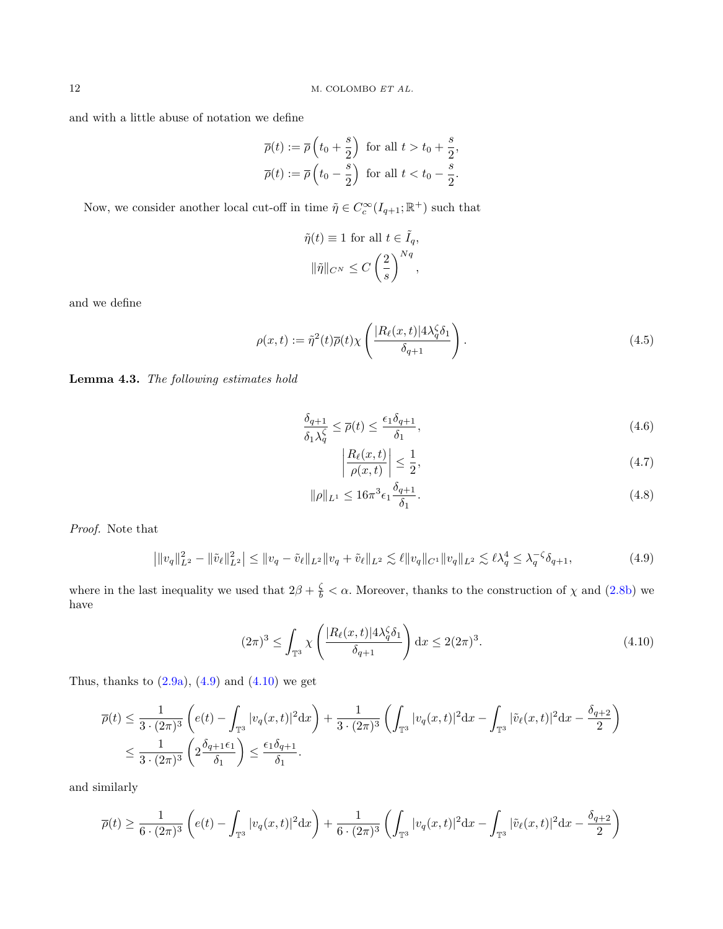and with a little abuse of notation we define

$$
\overline{\rho}(t) := \overline{\rho}\left(t_0 + \frac{s}{2}\right) \text{ for all } t > t_0 + \frac{s}{2},
$$
  

$$
\overline{\rho}(t) := \overline{\rho}\left(t_0 - \frac{s}{2}\right) \text{ for all } t < t_0 - \frac{s}{2}.
$$

Now, we consider another local cut-off in time  $\tilde{\eta} \in C_c^{\infty}(I_{q+1}; \mathbb{R}^+)$  such that

$$
\tilde{\eta}(t) \equiv 1 \text{ for all } t \in \tilde{I}_q,
$$

$$
\|\tilde{\eta}\|_{C^N} \le C\left(\frac{2}{s}\right)^{Nq},
$$

and we define

$$
\rho(x,t) := \tilde{\eta}^2(t)\overline{\rho}(t)\chi\left(\frac{|R_{\ell}(x,t)|4\lambda_q^{\zeta}\delta_1}{\delta_{q+1}}\right).
$$
\n(4.5)

Lemma 4.3. The following estimates hold

$$
\frac{\delta_{q+1}}{\delta_1 \lambda_q^{\zeta}} \le \overline{\rho}(t) \le \frac{\epsilon_1 \delta_{q+1}}{\delta_1},\tag{4.6}
$$

<span id="page-11-5"></span><span id="page-11-4"></span><span id="page-11-3"></span><span id="page-11-2"></span>
$$
\left| \frac{R_{\ell}(x,t)}{\rho(x,t)} \right| \le \frac{1}{2},\tag{4.7}
$$

$$
\|\rho\|_{L^{1}} \le 16\pi^{3}\epsilon_{1}\frac{\delta_{q+1}}{\delta_{1}}.\tag{4.8}
$$

Proof. Note that

<span id="page-11-0"></span>
$$
\left| \|v_q\|_{L^2}^2 - \|\tilde{v}_\ell\|_{L^2}^2 \right| \le \|v_q - \tilde{v}_\ell\|_{L^2} \|v_q + \tilde{v}_\ell\|_{L^2} \lesssim \ell \|v_q\|_{C^1} \|v_q\|_{L^2} \lesssim \ell \lambda_q^4 \le \lambda_q^{-\zeta} \delta_{q+1},\tag{4.9}
$$

where in the last inequality we used that  $2\beta + \frac{\zeta}{b} < \alpha$ . Moreover, thanks to the construction of  $\chi$  and [\(2.8b\)](#page-3-4) we have

<span id="page-11-1"></span>
$$
(2\pi)^3 \le \int_{\mathbb{T}^3} \chi \left( \frac{|R_{\ell}(x,t)| 4\lambda_q^{\zeta} \delta_1}{\delta_{q+1}} \right) dx \le 2(2\pi)^3. \tag{4.10}
$$

Thus, thanks to  $(2.9a)$ ,  $(4.9)$  and  $(4.10)$  we get

$$
\overline{\rho}(t) \leq \frac{1}{3 \cdot (2\pi)^3} \left( e(t) - \int_{\mathbb{T}^3} |v_q(x,t)|^2 dx \right) + \frac{1}{3 \cdot (2\pi)^3} \left( \int_{\mathbb{T}^3} |v_q(x,t)|^2 dx - \int_{\mathbb{T}^3} |\tilde{v}_{\ell}(x,t)|^2 dx - \frac{\delta_{q+2}}{2} \right)
$$
  

$$
\leq \frac{1}{3 \cdot (2\pi)^3} \left( 2 \frac{\delta_{q+1} \epsilon_1}{\delta_1} \right) \leq \frac{\epsilon_1 \delta_{q+1}}{\delta_1}.
$$

and similarly

$$
\overline{\rho}(t) \ge \frac{1}{6 \cdot (2\pi)^3} \left( e(t) - \int_{\mathbb{T}^3} |v_q(x,t)|^2 dx \right) + \frac{1}{6 \cdot (2\pi)^3} \left( \int_{\mathbb{T}^3} |v_q(x,t)|^2 dx - \int_{\mathbb{T}^3} |\tilde{v}_{\ell}(x,t)|^2 dx - \frac{\delta_{q+2}}{2} \right)
$$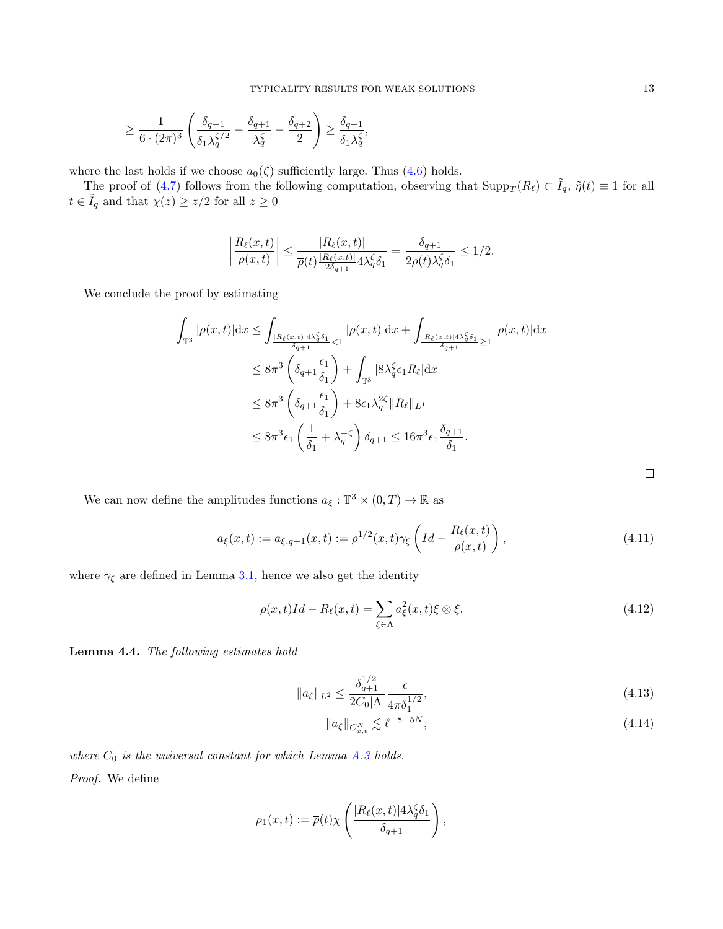$$
\geq \frac{1}{6\cdot (2\pi)^3}\left(\frac{\delta_{q+1}}{\delta_1\lambda_q^{\zeta/2}}-\frac{\delta_{q+1}}{\lambda_q^\zeta}-\frac{\delta_{q+2}}{2}\right)\geq \frac{\delta_{q+1}}{\delta_1\lambda_q^\zeta},
$$

where the last holds if we choose  $a_0(\zeta)$  sufficiently large. Thus [\(4.6\)](#page-11-2) holds.

The proof of [\(4.7\)](#page-11-3) follows from the following computation, observing that  $\text{Supp}_T(R_\ell) \subset \tilde{I}_q$ ,  $\tilde{\eta}(t) \equiv 1$  for all  $t \in \tilde{I}_q$  and that  $\chi(z) \geq z/2$  for all  $z \geq 0$ 

$$
\left|\frac{R_{\ell}(x,t)}{\rho(x,t)}\right| \leq \frac{|R_{\ell}(x,t)|}{\overline{\rho}(t)\frac{|R_{\ell}(x,t)|}{2\delta_{q+1}} 4\lambda_q^{\zeta} \delta_1} = \frac{\delta_{q+1}}{2\overline{\rho}(t)\lambda_q^{\zeta} \delta_1} \leq 1/2.
$$

We conclude the proof by estimating

$$
\int_{\mathbb{T}^3} |\rho(x,t)| \mathrm{d}x \le \int_{\frac{|R_{\ell}(x,t)| 4\lambda_{\theta}^{\zeta} \delta_1}{\delta_{q+1}}} |\rho(x,t)| \mathrm{d}x + \int_{\frac{|R_{\ell}(x,t)| 4\lambda_{\theta}^{\zeta} \delta_1}{\delta_{q+1}}} |\rho(x,t)| \mathrm{d}x
$$
\n
$$
\le 8\pi^3 \left( \delta_{q+1} \frac{\epsilon_1}{\delta_1} \right) + \int_{\mathbb{T}^3} |8\lambda_{q}^{\zeta} \epsilon_1 R_{\ell}| \mathrm{d}x
$$
\n
$$
\le 8\pi^3 \left( \delta_{q+1} \frac{\epsilon_1}{\delta_1} \right) + 8\epsilon_1 \lambda_{q}^{2\zeta} \|R_{\ell}\|_{L^1}
$$
\n
$$
\le 8\pi^3 \epsilon_1 \left( \frac{1}{\delta_1} + \lambda_{q}^{-\zeta} \right) \delta_{q+1} \le 16\pi^3 \epsilon_1 \frac{\delta_{q+1}}{\delta_1}.
$$

We can now define the amplitudes functions  $a_{\xi}: \mathbb{T}^3 \times (0,T) \to \mathbb{R}$  as

$$
a_{\xi}(x,t) := a_{\xi,q+1}(x,t) := \rho^{1/2}(x,t)\gamma_{\xi}\left(Id - \frac{R_{\ell}(x,t)}{\rho(x,t)}\right),\tag{4.11}
$$

where  $\gamma_\xi$  are defined in Lemma [3.1,](#page-5-1) hence we also get the identity

$$
\rho(x,t)Id - R_{\ell}(x,t) = \sum_{\xi \in \Lambda} a_{\xi}^{2}(x,t)\xi \otimes \xi.
$$
\n(4.12)

<span id="page-12-1"></span>Lemma 4.4. The following estimates hold

$$
||a_{\xi}||_{L^{2}} \le \frac{\delta_{q+1}^{1/2}}{2C_{0}|\Lambda|} \frac{\epsilon}{4\pi\delta_{1}^{1/2}},
$$
\n(4.13)

$$
||a_{\xi}||_{C_{x,t}^{N}} \lesssim \ell^{-8-5N},\tag{4.14}
$$

where  $C_0$  is the universal constant for which Lemma [A.3](#page-21-0) holds. Proof. We define

$$
\rho_1(x,t) := \overline{\rho}(t)\chi\left(\frac{|R_{\ell}(x,t)|4\lambda_q^{\zeta}\delta_1}{\delta_{q+1}}\right),\,
$$

<span id="page-12-0"></span> $\Box$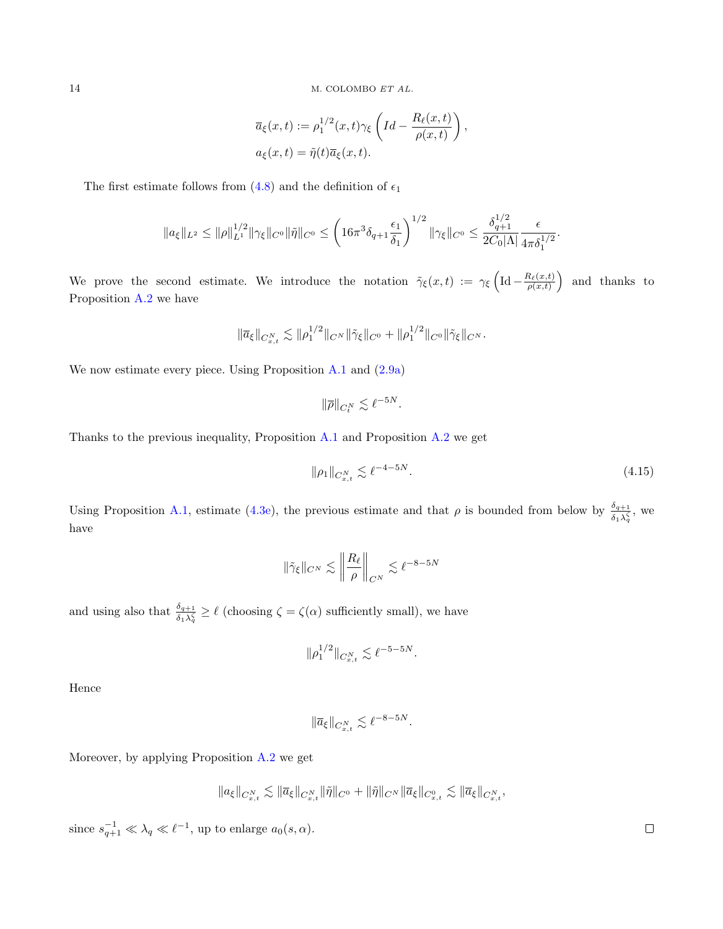$$
\overline{a}_{\xi}(x,t) := \rho_1^{1/2}(x,t)\gamma_{\xi}\left(Id - \frac{R_{\ell}(x,t)}{\rho(x,t)}\right),
$$
  

$$
a_{\xi}(x,t) = \tilde{\eta}(t)\overline{a}_{\xi}(x,t).
$$

The first estimate follows from [\(4.8\)](#page-11-4) and the definition of  $\epsilon_1$ 

$$
\|a_{\xi}\|_{L^{2}} \leq \|\rho\|_{L^{1}}^{1/2} \|\gamma_{\xi}\|_{C^{0}} \|\tilde{\eta}\|_{C^{0}} \leq \left(16\pi^{3}\delta_{q+1}\frac{\epsilon_{1}}{\delta_{1}}\right)^{1/2} \|\gamma_{\xi}\|_{C^{0}} \leq \frac{\delta_{q+1}^{1/2}}{2C_{0}|\Lambda|}\frac{\epsilon}{4\pi\delta_{1}^{1/2}}.
$$

We prove the second estimate. We introduce the notation  $\tilde{\gamma}_{\xi}(x,t) := \gamma_{\xi} \left( \text{Id} - \frac{R_{\ell}(x,t)}{\rho(x,t)} \right)$  and thanks to Proposition [A.2](#page-21-1) we have

$$
\|\overline{a}_{\xi}\|_{C^N_{x,t}} \lesssim \|\rho_1^{1/2}\|_{C^N} \|\tilde{\gamma}_{\xi}\|_{C^0} + \|\rho_1^{1/2}\|_{C^0} \|\tilde{\gamma}_{\xi}\|_{C^N}.
$$

We now estimate every piece. Using Proposition [A.1](#page-21-2) and  $(2.9a)$ 

$$
\|\overline{\rho}\|_{C_t^N} \lesssim \ell^{-5N}.
$$

Thanks to the previous inequality, Proposition [A.1](#page-21-2) and Proposition [A.2](#page-21-1) we get

$$
\|\rho_1\|_{C^N_{x,t}} \lesssim \ell^{-4-5N}.\tag{4.15}
$$

Using Proposition [A.1,](#page-21-2) estimate [\(4.3e\)](#page-10-0), the previous estimate and that  $\rho$  is bounded from below by  $\frac{\delta_{q+1}}{\delta_1 \lambda_q^{\zeta}}$ , we have

$$
\|\tilde{\gamma}_{\xi}\|_{C^N}\lesssim \left\|\frac{R_{\ell}}{\rho}\right\|_{C^N}\lesssim \ell^{-8-5N}
$$

and using also that  $\frac{\delta_{q+1}}{\delta_1 \lambda_q^{\zeta}} \geq \ell$  (choosing  $\zeta = \zeta(\alpha)$  sufficiently small), we have

$$
\|\rho_1^{1/2}\|_{C^N_{x,t}} \lesssim \ell^{-5-5N}.
$$

Hence

$$
\|\overline{a}_{\xi}\|_{C^N_{x,t}}\lesssim \ell^{-8-5N}.
$$

Moreover, by applying Proposition [A.2](#page-21-1) we get

$$
\|a_\xi\|_{C^N_{x,t}} \lesssim \|\overline{a}_\xi\|_{C^N_{x,t}} \|\tilde{\eta}\|_{C^0} + \|\tilde{\eta}\|_{C^N} \|\overline{a}_\xi\|_{C^0_{x,t}} \lesssim \|\overline{a}_\xi\|_{C^N_{x,t}},
$$

since  $s_{q+1}^{-1} \ll \lambda_q \ll \ell^{-1}$ , up to enlarge  $a_0(s, \alpha)$ .

 $\Box$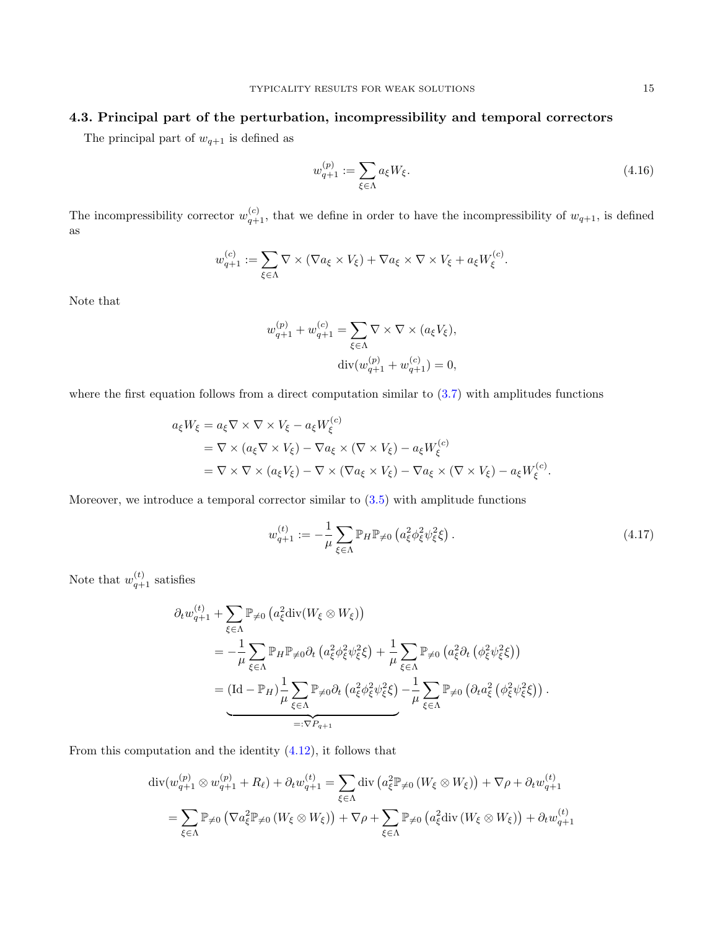# 4.3. Principal part of the perturbation, incompressibility and temporal correctors

The principal part of  $w_{q+1}$  is defined as

<span id="page-14-0"></span>
$$
w_{q+1}^{(p)} := \sum_{\xi \in \Lambda} a_{\xi} W_{\xi}.
$$
\n(4.16)

The incompressibility corrector  $w_{q+1}^{(c)}$ , that we define in order to have the incompressibility of  $w_{q+1}$ , is defined as

$$
w_{q+1}^{(c)} := \sum_{\xi \in \Lambda} \nabla \times (\nabla a_{\xi} \times V_{\xi}) + \nabla a_{\xi} \times \nabla \times V_{\xi} + a_{\xi} W_{\xi}^{(c)}.
$$

Note that

$$
w_{q+1}^{(p)} + w_{q+1}^{(c)} = \sum_{\xi \in \Lambda} \nabla \times \nabla \times (a_{\xi} V_{\xi}),
$$
  

$$
\operatorname{div}(w_{q+1}^{(p)} + w_{q+1}^{(c)}) = 0,
$$

where the first equation follows from a direct computation similar to [\(3.7\)](#page-7-1) with amplitudes functions

$$
a_{\xi}W_{\xi} = a_{\xi}\nabla \times \nabla \times V_{\xi} - a_{\xi}W_{\xi}^{(c)}
$$
  
=  $\nabla \times (a_{\xi}\nabla \times V_{\xi}) - \nabla a_{\xi} \times (\nabla \times V_{\xi}) - a_{\xi}W_{\xi}^{(c)}$   
=  $\nabla \times \nabla \times (a_{\xi}V_{\xi}) - \nabla \times (\nabla a_{\xi} \times V_{\xi}) - \nabla a_{\xi} \times (\nabla \times V_{\xi}) - a_{\xi}W_{\xi}^{(c)}$ .

Moreover, we introduce a temporal corrector similar to [\(3.5\)](#page-7-2) with amplitude functions

$$
w_{q+1}^{(t)} := -\frac{1}{\mu} \sum_{\xi \in \Lambda} \mathbb{P}_H \mathbb{P}_{\neq 0} \left( a_{\xi}^2 \phi_{\xi}^2 \psi_{\xi}^2 \xi \right).
$$
 (4.17)

Note that  $w_{q+1}^{(t)}$  satisfies

$$
\partial_t w_{q+1}^{(t)} + \sum_{\xi \in \Lambda} \mathbb{P}_{\neq 0} \left( a_{\xi}^2 \operatorname{div}(W_{\xi} \otimes W_{\xi}) \right)
$$
\n
$$
= -\frac{1}{\mu} \sum_{\xi \in \Lambda} \mathbb{P}_H \mathbb{P}_{\neq 0} \partial_t \left( a_{\xi}^2 \phi_{\xi}^2 \psi_{\xi}^2 \xi \right) + \frac{1}{\mu} \sum_{\xi \in \Lambda} \mathbb{P}_{\neq 0} \left( a_{\xi}^2 \partial_t \left( \phi_{\xi}^2 \psi_{\xi}^2 \xi \right) \right)
$$
\n
$$
= \underbrace{\left( \mathrm{Id} - \mathbb{P}_H \right) \frac{1}{\mu} \sum_{\xi \in \Lambda} \mathbb{P}_{\neq 0} \partial_t \left( a_{\xi}^2 \phi_{\xi}^2 \psi_{\xi}^2 \xi \right) - \frac{1}{\mu} \sum_{\xi \in \Lambda} \mathbb{P}_{\neq 0} \left( \partial_t a_{\xi}^2 \left( \phi_{\xi}^2 \psi_{\xi}^2 \xi \right) \right) .
$$
\n
$$
=:\nabla P_{q+1}
$$

From this computation and the identity [\(4.12\)](#page-12-0), it follows that

$$
\operatorname{div}(w_{q+1}^{(p)} \otimes w_{q+1}^{(p)} + R_{\ell}) + \partial_t w_{q+1}^{(t)} = \sum_{\xi \in \Lambda} \operatorname{div} \left( a_{\xi}^{2} \mathbb{P}_{\neq 0} \left( W_{\xi} \otimes W_{\xi} \right) \right) + \nabla \rho + \partial_t w_{q+1}^{(t)}
$$

$$
= \sum_{\xi \in \Lambda} \mathbb{P}_{\neq 0} \left( \nabla a_{\xi}^{2} \mathbb{P}_{\neq 0} \left( W_{\xi} \otimes W_{\xi} \right) \right) + \nabla \rho + \sum_{\xi \in \Lambda} \mathbb{P}_{\neq 0} \left( a_{\xi}^{2} \operatorname{div} \left( W_{\xi} \otimes W_{\xi} \right) \right) + \partial_t w_{q+1}^{(t)}
$$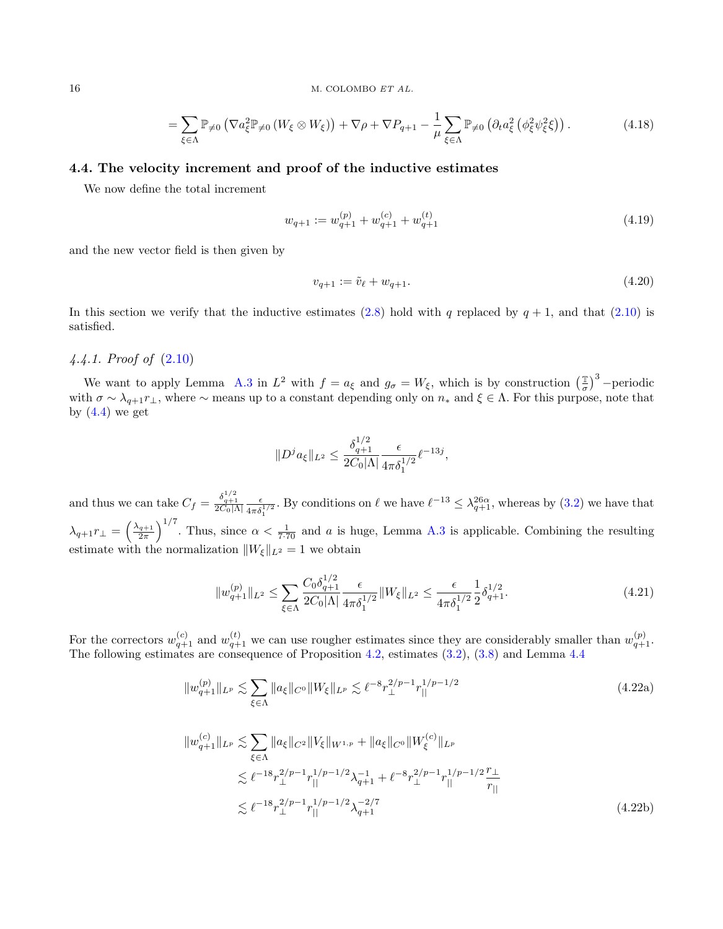$$
= \sum_{\xi \in \Lambda} \mathbb{P}_{\neq 0} \left( \nabla a_{\xi}^{2} \mathbb{P}_{\neq 0} \left( W_{\xi} \otimes W_{\xi} \right) \right) + \nabla \rho + \nabla P_{q+1} - \frac{1}{\mu} \sum_{\xi \in \Lambda} \mathbb{P}_{\neq 0} \left( \partial_{t} a_{\xi}^{2} \left( \phi_{\xi}^{2} \psi_{\xi}^{2} \xi \right) \right). \tag{4.18}
$$

## 4.4. The velocity increment and proof of the inductive estimates

We now define the total increment

$$
w_{q+1} := w_{q+1}^{(p)} + w_{q+1}^{(c)} + w_{q+1}^{(t)}
$$
\n
$$
(4.19)
$$

and the new vector field is then given by

<span id="page-15-2"></span>
$$
v_{q+1} := \tilde{v}_{\ell} + w_{q+1}.
$$
\n(4.20)

In this section we verify that the inductive estimates [\(2.8\)](#page-3-1) hold with q replaced by  $q + 1$ , and that [\(2.10\)](#page-4-1) is satisfied.

# 4.4.1. Proof of [\(2.10\)](#page-4-1)

We want to apply Lemma [A.3](#page-21-0) in  $L^2$  with  $f = a_{\xi}$  and  $g_{\sigma} = W_{\xi}$ , which is by construction  $\left(\frac{\pi}{\sigma}\right)$  $\left(\frac{\mathbb{T}}{\sigma}\right)^3$  -periodic with  $\sigma \sim \lambda_{q+1} r_\perp$ , where  $\sim$  means up to a constant depending only on  $n_*$  and  $\xi \in \Lambda$ . For this purpose, note that by  $(4.4)$  we get

<span id="page-15-1"></span><span id="page-15-0"></span>
$$
||D^j a_{\xi}||_{L^2} \le \frac{\delta_{q+1}^{1/2}}{2C_0|\Lambda|} \frac{\epsilon}{4\pi\delta_1^{1/2}} \ell^{-13j},
$$

and thus we can take  $C_f = \frac{\delta_{q+1}^{1/2}}{2C_0|\Lambda|} \frac{\epsilon}{4\pi\delta_1^{1/2}}$ . By conditions on  $\ell$  we have  $\ell^{-13} \leq \lambda_{q+1}^{26\alpha}$ , whereas by [\(3.2\)](#page-6-0) we have that  $\lambda_{q+1}r_{\perp} = \left(\frac{\lambda_{q+1}}{2\pi}\right)^{1/7}$ . Thus, since  $\alpha < \frac{1}{7\cdot 70}$  and a is huge, Lemma [A.3](#page-21-0) is applicable. Combining the resulting estimate with the normalization  $||W_{\xi}||_{L^2} = 1$  we obtain

$$
||w_{q+1}^{(p)}||_{L^2} \le \sum_{\xi \in \Lambda} \frac{C_0 \delta_{q+1}^{1/2}}{2C_0 |\Lambda|} \frac{\epsilon}{4\pi \delta_1^{1/2}} ||W_{\xi}||_{L^2} \le \frac{\epsilon}{4\pi \delta_1^{1/2}} \frac{1}{2} \delta_{q+1}^{1/2}.
$$
 (4.21)

For the correctors  $w_{q+1}^{(c)}$  and  $w_{q+1}^{(t)}$  we can use rougher estimates since they are considerably smaller than  $w_{q+1}^{(p)}$ . The following estimates are consequence of Proposition [4.2,](#page-9-0) estimates [\(3.2\)](#page-6-0), [\(3.8\)](#page-8-1) and Lemma [4.4](#page-12-1)

$$
||w_{q+1}^{(p)}||_{L^{p}} \lesssim \sum_{\xi \in \Lambda} ||a_{\xi}||_{C^{0}} ||W_{\xi}||_{L^{p}} \lesssim \ell^{-8} r_{\perp}^{2/p-1} r_{||}^{1/p-1/2}
$$
\n(4.22a)

$$
||w_{q+1}^{(c)}||_{L^{p}} \lesssim \sum_{\xi \in \Lambda} ||a_{\xi}||_{C^{2}} ||V_{\xi}||_{W^{1,p}} + ||a_{\xi}||_{C^{0}} ||W_{\xi}^{(c)}||_{L^{p}}
$$
  

$$
\lesssim \ell^{-18} r_{\perp}^{2/p-1} r_{||}^{1/p-1/2} \lambda_{q+1}^{-1} + \ell^{-8} r_{\perp}^{2/p-1} r_{||}^{1/p-1/2} \frac{r_{\perp}}{r_{||}}
$$
  

$$
\lesssim \ell^{-18} r_{\perp}^{2/p-1} r_{||}^{1/p-1/2} \lambda_{q+1}^{-2/7}
$$
 (4.22b)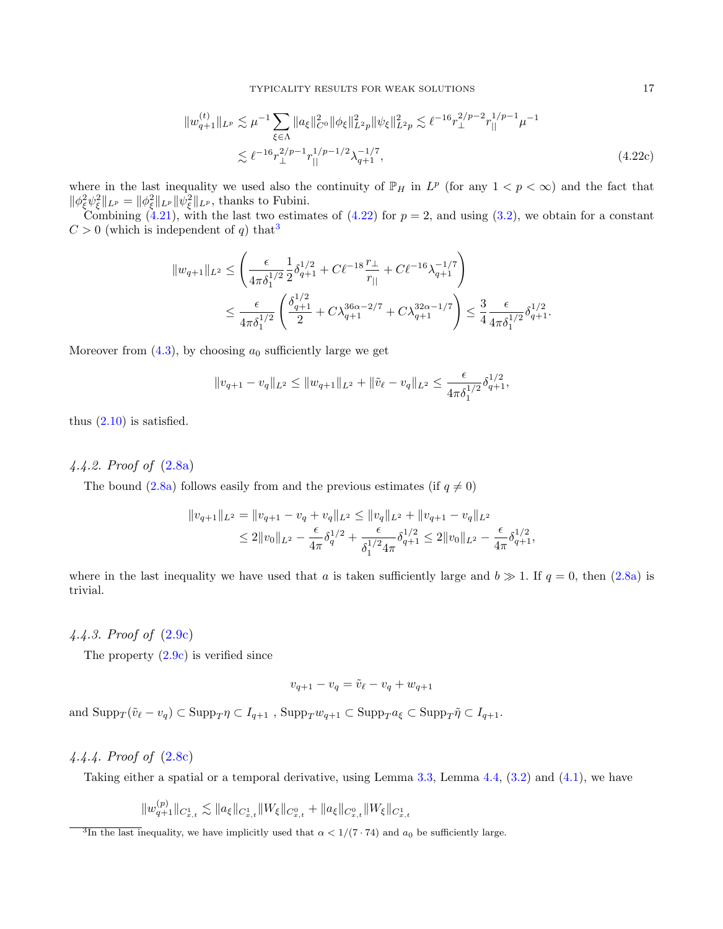TYPICALITY RESULTS FOR WEAK SOLUTIONS 17

$$
||w_{q+1}^{(t)}||_{L^{p}} \lesssim \mu^{-1} \sum_{\xi \in \Lambda} ||a_{\xi}||_{C^{0}}^{2} ||\phi_{\xi}||_{L^{2}p}^{2} ||\psi_{\xi}||_{L^{2}p}^{2} \lesssim \ell^{-16} r_{\perp}^{2/p-2} r_{||}^{1/p-1} \mu^{-1}
$$
  

$$
\lesssim \ell^{-16} r_{\perp}^{2/p-1} r_{||}^{1/p-1/2} \lambda_{q+1}^{-1/7},
$$
 (4.22c)

where in the last inequality we used also the continuity of  $\mathbb{P}_H$  in  $L^p$  (for any  $1 < p < \infty$ ) and the fact that  $\|\phi_{\xi}^{2}\psi_{\xi}^{2}\|_{L^{p}} = \|\phi_{\xi}^{2}\|_{L^{p}} \|\psi_{\xi}^{2}\|_{L^{p}},$  thanks to Fubini.

Combining  $(4.21)$ , with the last two estimates of  $(4.22)$  for  $p = 2$ , and using  $(3.2)$ , we obtain for a constant  $C > 0$  (which is independent of q) that<sup>[3](#page-16-0)</sup>

$$
||w_{q+1}||_{L^2} \le \left(\frac{\epsilon}{4\pi\delta_1^{1/2}}\frac{1}{2}\delta_{q+1}^{1/2} + C\ell^{-18}\frac{r_\perp}{r_{||}} + C\ell^{-16}\lambda_{q+1}^{-1/7}\right) \le \frac{\epsilon}{4\pi\delta_1^{1/2}}\left(\frac{\delta_{q+1}^{1/2}}{2} + C\lambda_{q+1}^{36\alpha-2/7} + C\lambda_{q+1}^{32\alpha-1/7}\right) \le \frac{3}{4}\frac{\epsilon}{4\pi\delta_1^{1/2}}\delta_{q+1}^{1/2}.
$$

Moreover from  $(4.3)$ , by choosing  $a_0$  sufficiently large we get

$$
||v_{q+1} - v_q||_{L^2} \le ||w_{q+1}||_{L^2} + ||\tilde{v}_{\ell} - v_q||_{L^2} \le \frac{\epsilon}{4\pi\delta_1^{1/2}}\delta_{q+1}^{1/2},
$$

thus  $(2.10)$  is satisfied.

# 4.4.2. Proof of [\(2.8a\)](#page-3-8)

The bound [\(2.8a\)](#page-3-8) follows easily from and the previous estimates (if  $q \neq 0$ )

$$
||v_{q+1}||_{L^2} = ||v_{q+1} - v_q + v_q||_{L^2} \le ||v_q||_{L^2} + ||v_{q+1} - v_q||_{L^2}
$$
  
\n
$$
\le 2||v_0||_{L^2} - \frac{\epsilon}{4\pi} \delta_q^{1/2} + \frac{\epsilon}{\delta_1^{1/2} 4\pi} \delta_{q+1}^{1/2} \le 2||v_0||_{L^2} - \frac{\epsilon}{4\pi} \delta_{q+1}^{1/2},
$$

where in the last inequality we have used that a is taken sufficiently large and  $b \gg 1$ . If  $q = 0$ , then [\(2.8a\)](#page-3-8) is trivial.

4.4.3. Proof of [\(2.9c\)](#page-3-6)

The property  $(2.9c)$  is verified since

$$
v_{q+1} - v_q = \tilde{v}_{\ell} - v_q + w_{q+1}
$$

and  $\text{Supp}_T(\tilde{v}_\ell - v_q) \subset \text{Supp}_T \eta \subset I_{q+1}$ ,  $\text{Supp}_T w_{q+1} \subset \text{Supp}_T a_{\xi} \subset \text{Supp}_T \tilde{\eta} \subset I_{q+1}$ .

# 4.4.4. Proof of [\(2.8c\)](#page-3-9)

Taking either a spatial or a temporal derivative, using Lemma [3.3,](#page-8-2) Lemma [4.4,](#page-12-1) [\(3.2\)](#page-6-0) and [\(4.1\)](#page-8-3), we have

$$
\|w^{(p)}_{q+1}\|_{C^1_{x,t}} \lesssim \|a_{\xi}\|_{C^1_{x,t}} \|W_{\xi}\|_{C^0_{x,t}} + \|a_{\xi}\|_{C^0_{x,t}} \|W_{\xi}\|_{C^1_{x,t}}
$$

<span id="page-16-0"></span><sup>&</sup>lt;sup>3</sup>In the last inequality, we have implicitly used that  $\alpha < 1/(7 \cdot 74)$  and  $a_0$  be sufficiently large.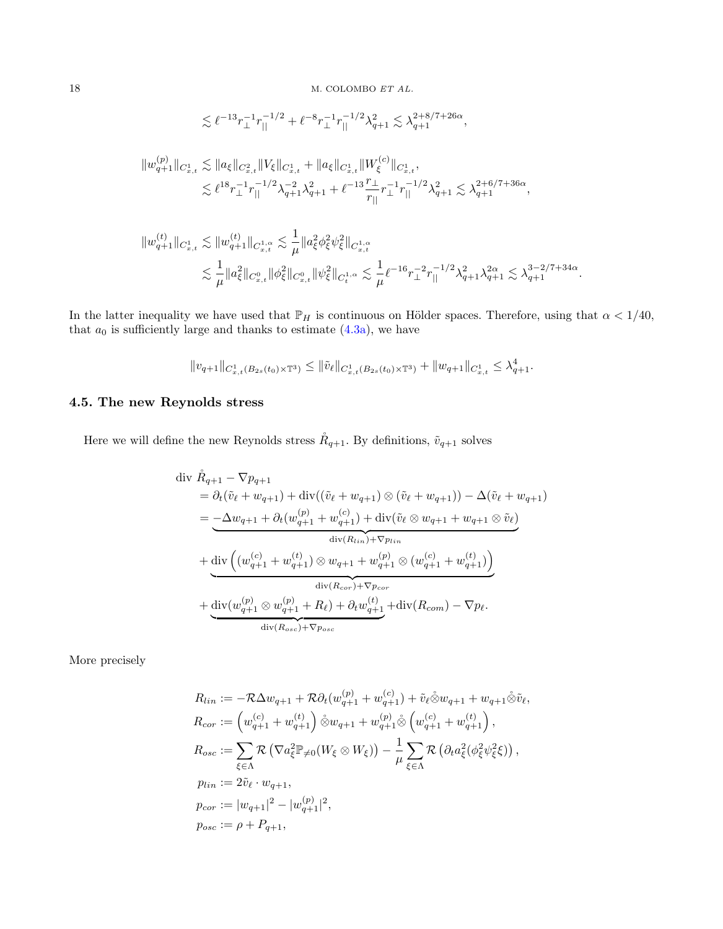$$
\lesssim \ell^{-13} r_\perp^{-1} r_{||}^{-1/2} + \ell^{-8} r_\perp^{-1} r_{||}^{-1/2} \lambda_{q+1}^2 \lesssim \lambda_{q+1}^{2+8/7+26\alpha},
$$

$$
\begin{aligned}\|w^{(p)}_{q+1}\|_{C^1_{x,t}} &\lesssim \|a_\xi\|_{C^2_{x,t}}\|V_\xi\|_{C^1_{x,t}}+\|a_\xi\|_{C^1_{x,t}}\|W^{(c)}_\xi\|_{C^1_{x,t}},\\ &\lesssim \ell^{18}r_\perp^{-1}r_{||}^{-1/2}\lambda_{q+1}^{-2}\lambda_{q+1}^2+\ell^{-13}\frac{r_\perp}{r_{||}}r_\perp^{-1}r_{||}^{-1/2}\lambda_{q+1}^2\lesssim \lambda_{q+1}^{2+6/7+36\alpha},\end{aligned}
$$

$$
\begin{aligned}\|w^{(t)}_{q+1}\|_{C^1_{x,t}} &\lesssim \|w^{(t)}_{q+1}\|_{C^{1,\alpha}_{x,t}} \lesssim \frac{1}{\mu}\|a_\xi^2\phi_\xi^2\psi_\xi^2\|_{C^{1,\alpha}_{x,t}}\\ &\lesssim \frac{1}{\mu}\|a_\xi^2\|_{C^0_{x,t}}\|\phi_\xi^2\|_{C^0_{x,t}}\|\psi_\xi^2\|_{C^{1,\alpha}_t} \lesssim \frac{1}{\mu} \ell^{-16} r_\perp^{-2} r_\parallel^{-1/2} \lambda_{q+1}^2 \lambda_{q+1}^{2\alpha} \lesssim \lambda_{q+1}^{3-2/7+34\alpha}.\end{aligned}
$$

In the latter inequality we have used that  $\mathbb{P}_H$  is continuous on Hölder spaces. Therefore, using that  $\alpha < 1/40$ , that  $a_0$  is sufficiently large and thanks to estimate  $(4.3a)$ , we have

$$
\|v_{q+1}\|_{C_{x,t}^1(B_{2s}(t_0)\times\mathbb{T}^3)}\leq \|\tilde{v}_\ell\|_{C_{x,t}^1(B_{2s}(t_0)\times\mathbb{T}^3)}+\|w_{q+1}\|_{C_{x,t}^1}\leq \lambda_{q+1}^4.
$$

# 4.5. The new Reynolds stress

Here we will define the new Reynolds stress  $\mathring{R}_{q+1}$ . By definitions,  $\tilde{v}_{q+1}$  solves

$$
\begin{split}\n\text{div } \mathring{R}_{q+1} - \nabla p_{q+1} \\
&= \partial_t (\tilde{v}_{\ell} + w_{q+1}) + \text{div}((\tilde{v}_{\ell} + w_{q+1}) \otimes (\tilde{v}_{\ell} + w_{q+1})) - \Delta(\tilde{v}_{\ell} + w_{q+1}) \\
&= -\Delta w_{q+1} + \partial_t (w_{q+1}^{(p)} + w_{q+1}^{(c)}) + \text{div}(\tilde{v}_{\ell} \otimes w_{q+1} + w_{q+1} \otimes \tilde{v}_{\ell}) \\
&\quad \text{div}(R_{lin}) + \nabla p_{lin} \\
&\quad + \text{div} \left( (w_{q+1}^{(c)} + w_{q+1}^{(t)}) \otimes w_{q+1} + w_{q+1}^{(p)} \otimes (w_{q+1}^{(c)} + w_{q+1}^{(t)}) \right) \\
&\quad \text{div}(R_{corr}) + \nabla p_{corr} \\
&\quad + \text{div}(w_{q+1}^{(p)} \otimes w_{q+1}^{(p)} + R_{\ell}) + \partial_t w_{q+1}^{(t)} + \text{div}(R_{com}) - \nabla p_{\ell} \\
&\quad \text{div}(R_{osc}) + \nabla p_{osc}\n\end{split}
$$

More precisely

$$
R_{lin} := -\mathcal{R}\Delta w_{q+1} + \mathcal{R}\partial_t(w_{q+1}^{(p)} + w_{q+1}^{(c)}) + \tilde{v}_{\ell}\tilde{\otimes}w_{q+1} + w_{q+1}\tilde{\otimes}\tilde{v}_{\ell},
$$
  
\n
$$
R_{cor} := \left(w_{q+1}^{(c)} + w_{q+1}^{(t)}\right)\tilde{\otimes}w_{q+1} + w_{q+1}^{(p)}\tilde{\otimes}\left(w_{q+1}^{(c)} + w_{q+1}^{(t)}\right),
$$
  
\n
$$
R_{osc} := \sum_{\xi \in \Lambda} \mathcal{R}\left(\nabla a_{\xi}^{2} \mathbb{P}_{\neq 0}(W_{\xi} \otimes W_{\xi})\right) - \frac{1}{\mu} \sum_{\xi \in \Lambda} \mathcal{R}\left(\partial_t a_{\xi}^{2}(\phi_{\xi}^{2} \psi_{\xi}^{2} \xi)\right),
$$
  
\n
$$
p_{lin} := 2\tilde{v}_{\ell} \cdot w_{q+1},
$$
  
\n
$$
p_{cor} := |w_{q+1}|^{2} - |w_{q+1}^{(p)}|^{2},
$$
  
\n
$$
p_{osc} := \rho + P_{q+1},
$$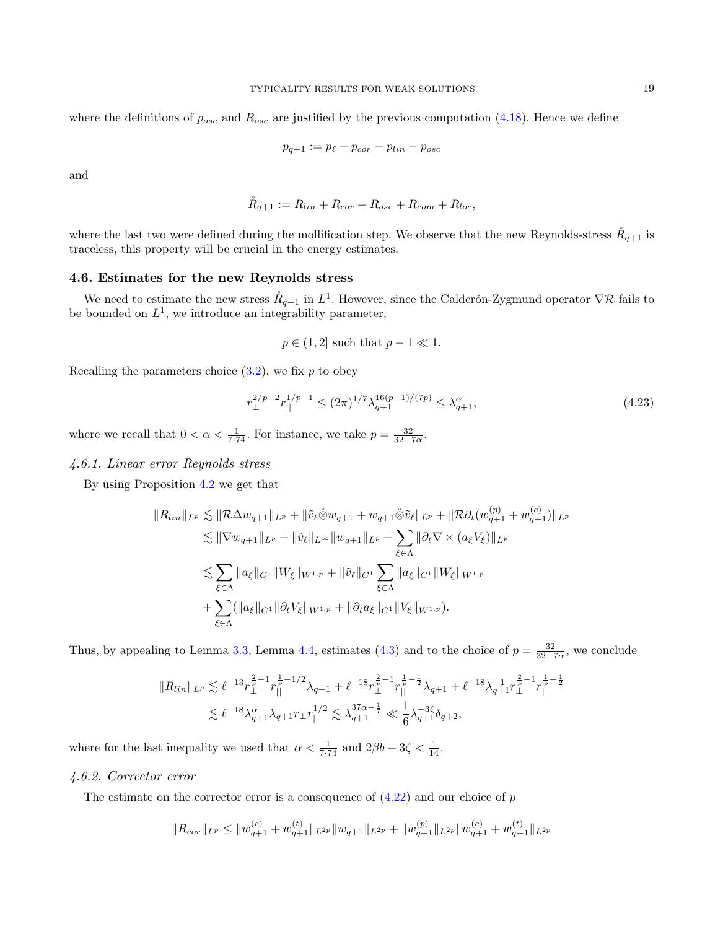where the definitions of  $p_{osc}$  and  $R_{osc}$  are justified by the previous computation [\(4.18\)](#page-15-2). Hence we define

$$
p_{q+1} := p_{\ell} - p_{cor} - p_{lin} - p_{osc}
$$

and

$$
\mathring{R}_{q+1} := R_{lin} + R_{cor} + R_{osc} + R_{com} + R_{loc},
$$

where the last two were defined during the mollification step. We observe that the new Reynolds-stress  $R_{q+1}$  is traceless, this property will be crucial in the energy estimates.

## 4.6. Estimates for the new Reynolds stress

We need to estimate the new stress  $R_{q+1}$  in  $L^1$ . However, since the Calderón-Zygmund operator  $\nabla \mathcal{R}$  fails to be bounded on  $L^1$ , we introduce an integrability parameter,

$$
p \in (1,2]
$$
 such that  $p-1 \ll 1$ .

Recalling the parameters choice  $(3.2)$ , we fix p to obey

$$
r_{\perp}^{2/p-2} r_{||}^{1/p-1} \le (2\pi)^{1/7} \lambda_{q+1}^{16(p-1)/(7p)} \le \lambda_{q+1}^{\alpha},\tag{4.23}
$$

where we recall that  $0 < \alpha < \frac{1}{7 \cdot 74}$ . For instance, we take  $p = \frac{32}{32 - 7\alpha}$ .

## 4.6.1. Linear error Reynolds stress

By using Proposition [4.2](#page-9-0) we get that

$$
||R_{lin}||_{L^{p}} \lesssim ||\mathcal{R}\Delta w_{q+1}||_{L^{p}} + ||\tilde{v}_{\ell}\tilde{\otimes}w_{q+1} + w_{q+1}\tilde{\otimes}\tilde{v}_{\ell}||_{L^{p}} + ||\mathcal{R}\partial_{t}(w_{q+1}^{(p)} + w_{q+1}^{(c)})||_{L^{p}}\leq ||\nabla w_{q+1}||_{L^{p}} + ||\tilde{v}_{\ell}||_{L^{\infty}}||w_{q+1}||_{L^{p}} + \sum_{\xi\in\Lambda} ||\partial_{t}\nabla \times (a_{\xi}V_{\xi})||_{L^{p}}\leq \sum_{\xi\in\Lambda} ||a_{\xi}||_{C^{1}}||W_{\xi}||_{W^{1,p}} + ||\tilde{v}_{\ell}||_{C^{1}} \sum_{\xi\in\Lambda} ||a_{\xi}||_{C^{1}}||W_{\xi}||_{W^{1,p}}+ \sum_{\xi\in\Lambda} (||a_{\xi}||_{C^{1}}||\partial_{t}V_{\xi}||_{W^{1,p}} + ||\partial_{t}a_{\xi}||_{C^{1}}||V_{\xi}||_{W^{1,p}}).
$$

Thus, by appealing to Lemma [3.3,](#page-8-2) Lemma [4.4,](#page-12-1) estimates [\(4.3\)](#page-10-1) and to the choice of  $p = \frac{32}{32-7\alpha}$ , we conclude

$$
||R_{lin}||_{L^p} \lesssim \ell^{-13} r_{\perp}^{\frac{2}{p}-1} r_{||}^{\frac{1}{p}-1/2} \lambda_{q+1} + \ell^{-18} r_{\perp}^{\frac{2}{p}-1} r_{||}^{\frac{1}{p}-\frac{1}{2}} \lambda_{q+1} + \ell^{-18} \lambda_{q+1}^{-1} r_{\perp}^{\frac{2}{p}-1} r_{||}^{\frac{1}{p}-\frac{1}{2}}
$$
  

$$
\lesssim \ell^{-18} \lambda_{q+1}^{\alpha} \lambda_{q+1} r_{\perp} r_{||}^{1/2} \lesssim \lambda_{q+1}^{37\alpha-\frac{1}{7}} \ll \frac{1}{6} \lambda_{q+1}^{-3\zeta} \delta_{q+2},
$$

where for the last inequality we used that  $\alpha < \frac{1}{7 \cdot 74}$  and  $2\beta b + 3\zeta < \frac{1}{14}$ .

# 4.6.2. Corrector error

The estimate on the corrector error is a consequence of  $(4.22)$  and our choice of p

$$
||R_{cor}||_{L^p} \le ||w_{q+1}^{(c)} + w_{q+1}^{(t)}||_{L^{2p}} ||w_{q+1}||_{L^{2p}} + ||w_{q+1}^{(p)}||_{L^{2p}} ||w_{q+1}^{(c)} + w_{q+1}^{(t)}||_{L^{2p}}
$$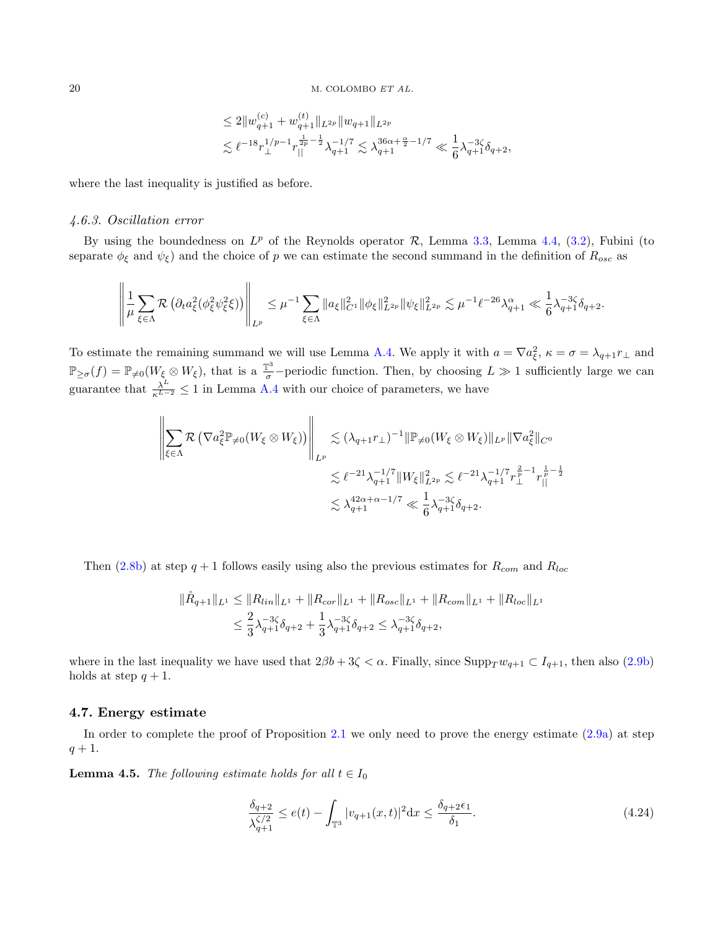$$
\leq 2 \| w^{(c)}_{q+1} + w^{(t)}_{q+1} \|_{L^{2p}} \| w_{q+1} \|_{L^{2p}} \\ \lesssim \ell^{-18} r_\perp^{1/p-1} r_\parallel^{\frac{1}{2p} - \frac{1}{2}} \lambda_{q+1}^{-1/7} \lesssim \lambda_{q+1}^{36\alpha + \frac{\alpha}{2} - 1/7} \ll \frac{1}{6} \lambda_{q+1}^{-3\zeta} \delta_{q+2},
$$

where the last inequality is justified as before.

## 4.6.3. Oscillation error

By using the boundedness on  $L^p$  of the Reynolds operator  $R$ , Lemma [3.3,](#page-8-2) Lemma [4.4,](#page-12-1) [\(3.2\)](#page-6-0), Fubini (to separate  $\phi_{\xi}$  and  $\psi_{\xi}$ ) and the choice of p we can estimate the second summand in the definition of  $R_{osc}$  as

$$
\left\|\frac{1}{\mu}\sum_{\xi\in\Lambda}\mathcal{R}\left(\partial_t a_{\xi}^2(\phi_{\xi}^2\psi_{\xi}^2\xi)\right)\right\|_{L^p}\leq\mu^{-1}\sum_{\xi\in\Lambda}\|a_{\xi}\|_{C^1}^2\|\phi_{\xi}\|_{L^{2p}}^2\|\psi_{\xi}\|_{L^{2p}}^2\lesssim\mu^{-1}\ell^{-26}\lambda_{q+1}^{\alpha}\ll\frac{1}{6}\lambda_{q+1}^{-3\zeta}\delta_{q+2}.
$$

To estimate the remaining summand we will use Lemma [A.4.](#page-21-3) We apply it with  $a = \nabla a_{\xi}^2$ ,  $\kappa = \sigma = \lambda_{q+1} r_{\perp}$  and  $\mathbb{P}_{\geq \sigma}(f) = \mathbb{P}_{\neq 0}(W_{\xi} \otimes W_{\xi}),$  that is a  $\frac{\mathbb{T}^3}{\sigma}$ -periodic function. Then, by choosing  $L \gg 1$  sufficiently large we can guarantee that  $\frac{\lambda^L}{\kappa^{L-2}} \leq 1$  in Lemma [A.4](#page-21-3) with our choice of parameters, we have

$$
\left\| \sum_{\xi \in \Lambda} \mathcal{R} \left( \nabla a_{\xi}^{2} \mathbb{P}_{\neq 0} (W_{\xi} \otimes W_{\xi}) \right) \right\|_{L^{p}} \lesssim (\lambda_{q+1} r_{\perp})^{-1} \|\mathbb{P}_{\neq 0} (W_{\xi} \otimes W_{\xi})\|_{L^{p}} \|\nabla a_{\xi}^{2}\|_{C^{0}}
$$
  

$$
\lesssim \ell^{-21} \lambda_{q+1}^{-1/7} \|W_{\xi}\|_{L^{2p}}^{2} \lesssim \ell^{-21} \lambda_{q+1}^{-1/7} \lambda_{\perp}^{\frac{2}{p}-1} r_{\parallel}^{\frac{1}{p}-\frac{1}{2}}
$$
  

$$
\lesssim \lambda_{q+1}^{42\alpha+\alpha-1/7} \ll \frac{1}{6} \lambda_{q+1}^{-3\zeta} \delta_{q+2}.
$$

Then [\(2.8b\)](#page-3-4) at step  $q + 1$  follows easily using also the previous estimates for  $R_{com}$  and  $R_{loc}$ 

$$
\|\mathring{R}_{q+1}\|_{L^1} \le \|R_{lin}\|_{L^1} + \|R_{cor}\|_{L^1} + \|R_{osc}\|_{L^1} + \|R_{com}\|_{L^1} + \|R_{loc}\|_{L^1}
$$
  

$$
\le \frac{2}{3}\lambda_{q+1}^{-3\zeta}\delta_{q+2} + \frac{1}{3}\lambda_{q+1}^{-3\zeta}\delta_{q+2} \le \lambda_{q+1}^{-3\zeta}\delta_{q+2},
$$

where in the last inequality we have used that  $2\beta b + 3\zeta < \alpha$ . Finally, since  $\text{Supp}_T w_{q+1} \subset I_{q+1}$ , then also [\(2.9b\)](#page-3-7) holds at step  $q + 1$ .

## 4.7. Energy estimate

In order to complete the proof of Proposition [2.1](#page-3-3) we only need to prove the energy estimate  $(2.9a)$  at step  $q + 1.$ 

**Lemma 4.5.** The following estimate holds for all  $t \in I_0$ 

<span id="page-19-0"></span>
$$
\frac{\delta_{q+2}}{\lambda_{q+1}^{\zeta/2}} \le e(t) - \int_{\mathbb{T}^3} |v_{q+1}(x,t)|^2 dx \le \frac{\delta_{q+2}\epsilon_1}{\delta_1}.
$$
\n(4.24)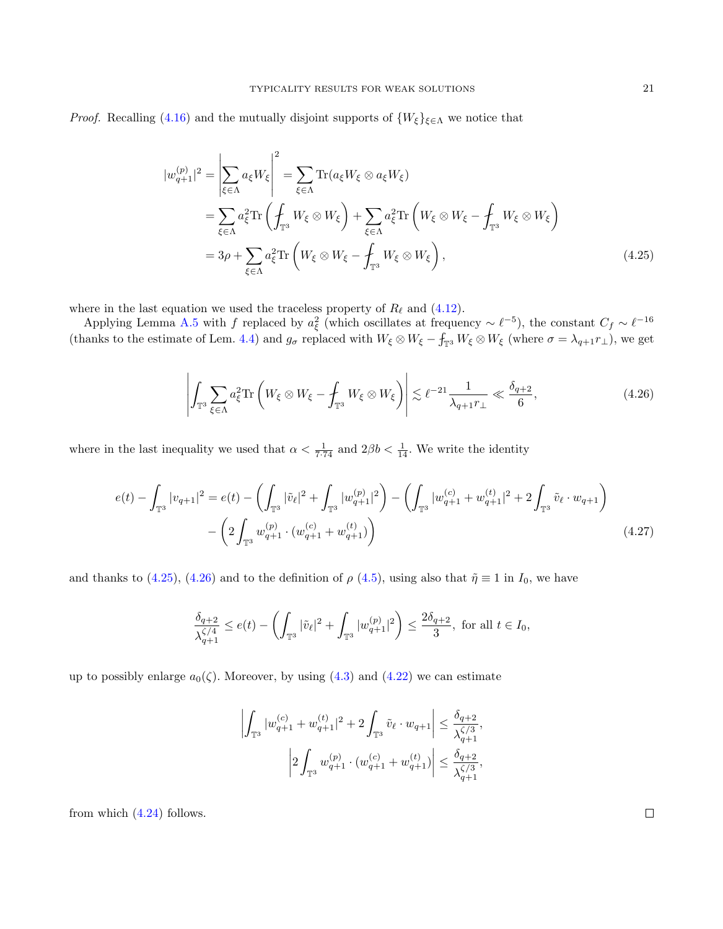*Proof.* Recalling [\(4.16\)](#page-14-0) and the mutually disjoint supports of  $\{W_{\xi}\}_{\xi \in \Lambda}$  we notice that

$$
|w_{q+1}^{(p)}|^2 = \left| \sum_{\xi \in \Lambda} a_{\xi} W_{\xi} \right|^2 = \sum_{\xi \in \Lambda} \text{Tr}(a_{\xi} W_{\xi} \otimes a_{\xi} W_{\xi})
$$
  
= 
$$
\sum_{\xi \in \Lambda} a_{\xi}^2 \text{Tr} \left( \int_{\mathbb{T}^3} W_{\xi} \otimes W_{\xi} \right) + \sum_{\xi \in \Lambda} a_{\xi}^2 \text{Tr} \left( W_{\xi} \otimes W_{\xi} - \int_{\mathbb{T}^3} W_{\xi} \otimes W_{\xi} \right)
$$
  
= 
$$
3\rho + \sum_{\xi \in \Lambda} a_{\xi}^2 \text{Tr} \left( W_{\xi} \otimes W_{\xi} - \int_{\mathbb{T}^3} W_{\xi} \otimes W_{\xi} \right),
$$
 (4.25)

where in the last equation we used the traceless property of  $R_\ell$  and [\(4.12\)](#page-12-0).

Applying Lemma [A.5](#page-22-20) with f replaced by  $a_{\xi}^2$  (which oscillates at frequency ~  $\ell^{-5}$ ), the constant  $C_f \sim \ell^{-16}$ (thanks to the estimate of Lem. [4.4\)](#page-12-1) and  $g_{\sigma}$  replaced with  $W_{\xi} \otimes W_{\xi} - f_{\mathbb{T}^3} W_{\xi} \otimes W_{\xi}$  (where  $\sigma = \lambda_{q+1} r_{\perp}$ ), we get

<span id="page-20-1"></span><span id="page-20-0"></span>
$$
\left| \int_{\mathbb{T}^3} \sum_{\xi \in \Lambda} a_{\xi}^2 \text{Tr} \left( W_{\xi} \otimes W_{\xi} - \int_{\mathbb{T}^3} W_{\xi} \otimes W_{\xi} \right) \right| \lesssim \ell^{-21} \frac{1}{\lambda_{q+1} r_{\perp}} \ll \frac{\delta_{q+2}}{6},\tag{4.26}
$$

where in the last inequality we used that  $\alpha < \frac{1}{7 \cdot 74}$  and  $2\beta b < \frac{1}{14}$ . We write the identity

$$
e(t) - \int_{\mathbb{T}^3} |v_{q+1}|^2 = e(t) - \left(\int_{\mathbb{T}^3} |\tilde{v}_{\ell}|^2 + \int_{\mathbb{T}^3} |w_{q+1}^{(p)}|^2\right) - \left(\int_{\mathbb{T}^3} |w_{q+1}^{(c)} + w_{q+1}^{(t)}|^2 + 2 \int_{\mathbb{T}^3} \tilde{v}_{\ell} \cdot w_{q+1}\right) - \left(2 \int_{\mathbb{T}^3} w_{q+1}^{(p)} \cdot (w_{q+1}^{(c)} + w_{q+1}^{(t)})\right)
$$
\n(4.27)

and thanks to [\(4.25\)](#page-20-0), [\(4.26\)](#page-20-1) and to the definition of  $\rho$  [\(4.5\)](#page-11-5), using also that  $\tilde{\eta} \equiv 1$  in  $I_0$ , we have

$$
\frac{\delta_{q+2}}{\lambda_{q+1}^{\zeta/4}} \le e(t) - \left(\int_{\mathbb{T}^3} |\tilde{v}_{\ell}|^2 + \int_{\mathbb{T}^3} |w_{q+1}^{(p)}|^2\right) \le \frac{2\delta_{q+2}}{3}, \text{ for all } t \in I_0,
$$

up to possibly enlarge  $a_0(\zeta)$ . Moreover, by using [\(4.3\)](#page-10-1) and [\(4.22\)](#page-15-1) we can estimate

$$
\left|\int_{\mathbb{T}^3} |w_{q+1}^{(c)}+w_{q+1}^{(t)}|^2+2\int_{\mathbb{T}^3} \tilde{v}_\ell\cdot w_{q+1}\right|\leq \frac{\delta_{q+2}}{\lambda_{q+1}^{\zeta/3}},
$$

$$
\left|2\int_{\mathbb{T}^3} w_{q+1}^{(p)}\cdot (w_{q+1}^{(c)}+w_{q+1}^{(t)})\right|\leq \frac{\delta_{q+2}}{\lambda_{q+1}^{\zeta/3}},
$$

from which [\(4.24\)](#page-19-0) follows.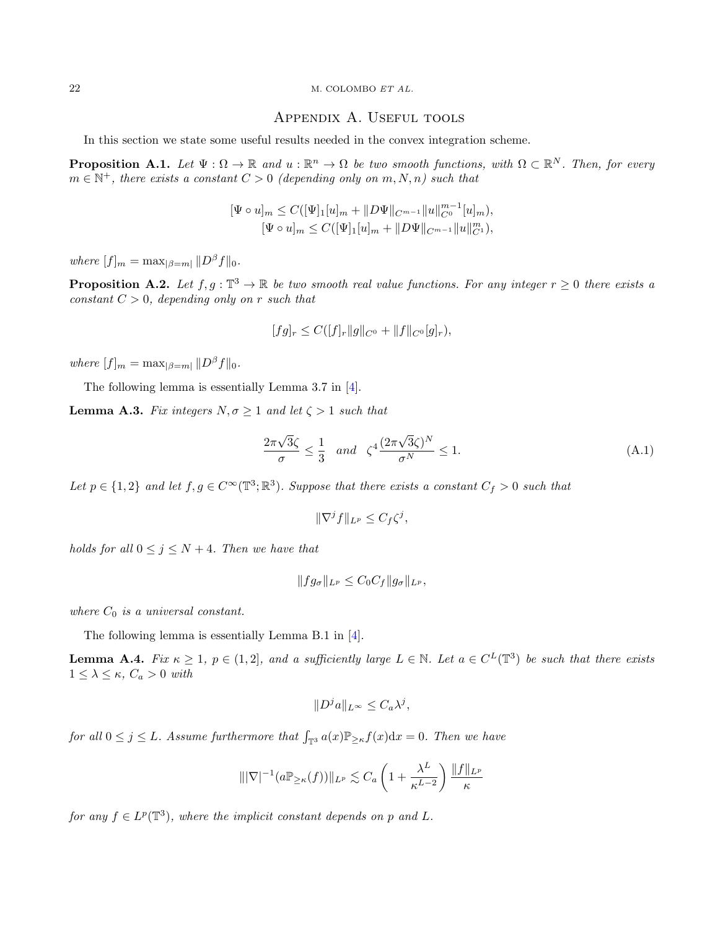#### 22 M. COLOMBO ET AL.

## Appendix A. Useful tools

In this section we state some useful results needed in the convex integration scheme.

<span id="page-21-2"></span>**Proposition A.1.** Let  $\Psi : \Omega \to \mathbb{R}$  and  $u : \mathbb{R}^n \to \Omega$  be two smooth functions, with  $\Omega \subset \mathbb{R}^N$ . Then, for every  $m \in \mathbb{N}^+$ , there exists a constant  $C > 0$  (depending only on  $m, N, n$ ) such that

$$
[\Psi \circ u]_m \leq C([\Psi]_1[u]_m + ||D\Psi||_{C^{m-1}} ||u||_{C^0}^{m-1}[u]_m),
$$
  

$$
[\Psi \circ u]_m \leq C([\Psi]_1[u]_m + ||D\Psi||_{C^{m-1}} ||u||_{C^1}^m),
$$

where  $[f]_m = \max_{|\beta=m|} ||D^{\beta}f||_0$ .

<span id="page-21-1"></span>**Proposition A.2.** Let  $f, g : \mathbb{T}^3 \to \mathbb{R}$  be two smooth real value functions. For any integer  $r \geq 0$  there exists a constant  $C > 0$ , depending only on r such that

$$
[fg]_r \leq C([f]_r ||g||_{C^0} + ||f||_{C^0}[g]_r),
$$

where  $[f]_m = \max_{|\beta = m|} ||D^{\beta} f||_0$ .

The following lemma is essentially Lemma 3.7 in [\[4\]](#page-22-6).

<span id="page-21-0"></span>**Lemma A.3.** Fix integers  $N, \sigma \geq 1$  and let  $\zeta > 1$  such that

$$
\frac{2\pi\sqrt{3}\zeta}{\sigma} \le \frac{1}{3} \quad and \quad \zeta^4 \frac{(2\pi\sqrt{3}\zeta)^N}{\sigma^N} \le 1.
$$
 (A.1)

Let  $p \in \{1,2\}$  and let  $f, g \in C^{\infty}(\mathbb{T}^3;\mathbb{R}^3)$ . Suppose that there exists a constant  $C_f > 0$  such that

$$
\|\nabla^j f\|_{L^p} \le C_f \zeta^j,
$$

holds for all  $0 \leq j \leq N+4$ . Then we have that

$$
||fg_{\sigma}||_{L^p} \leq C_0 C_f ||g_{\sigma}||_{L^p},
$$

where  $C_0$  is a universal constant.

The following lemma is essentially Lemma B.1 in [\[4\]](#page-22-6).

<span id="page-21-3"></span>**Lemma A.4.** Fix  $\kappa \geq 1$ ,  $p \in (1,2]$ , and a sufficiently large  $L \in \mathbb{N}$ . Let  $a \in C^{L}(\mathbb{T}^{3})$  be such that there exists  $1 \leq \lambda \leq \kappa$ ,  $C_a > 0$  with

$$
||D^j a||_{L^{\infty}} \leq C_a \lambda^j,
$$

for all  $0 \leq j \leq L$ . Assume furthermore that  $\int_{\mathbb{T}^3} a(x) \mathbb{P}_{\geq \kappa} f(x) dx = 0$ . Then we have

$$
\| |\nabla|^{-1} (a \mathbb{P}_{\geq \kappa}(f)) \|_{L^p} \lesssim C_a \left( 1 + \frac{\lambda^L}{\kappa^{L-2}} \right) \frac{\| f \|_{L^p}}{\kappa}
$$

for any  $f \in L^p(\mathbb{T}^3)$ , where the implicit constant depends on p and L.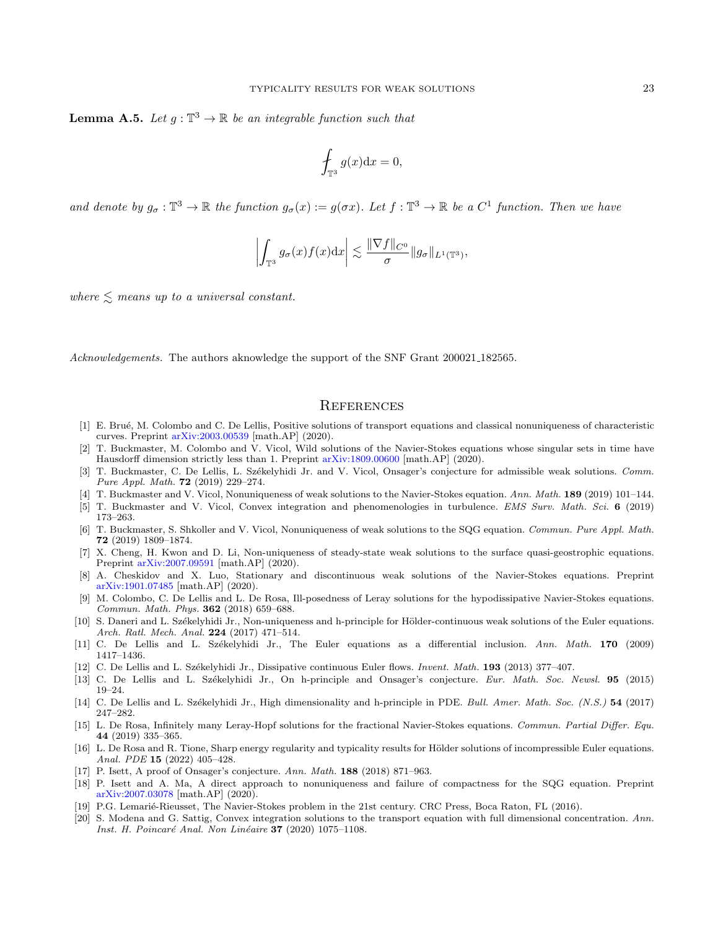<span id="page-22-20"></span>**Lemma A.5.** Let  $g: \mathbb{T}^3 \to \mathbb{R}$  be an integrable function such that

$$
\oint_{\mathbb{T}^3} g(x) \mathrm{d} x = 0,
$$

and denote by  $g_{\sigma} : \mathbb{T}^3 \to \mathbb{R}$  the function  $g_{\sigma}(x) := g(\sigma x)$ . Let  $f : \mathbb{T}^3 \to \mathbb{R}$  be a  $C^1$  function. Then we have

$$
\left| \int_{\mathbb{T}^3} g_{\sigma}(x) f(x) dx \right| \lesssim \frac{\|\nabla f\|_{C^0}}{\sigma} \|g_{\sigma}\|_{L^1(\mathbb{T}^3)},
$$

where  $\leq$  means up to a universal constant.

Acknowledgements. The authors aknowledge the support of the SNF Grant 200021 182565.

## **REFERENCES**

- <span id="page-22-13"></span>[1] E. Bru´e, M. Colombo and C. De Lellis, Positive solutions of transport equations and classical nonuniqueness of characteristic curves. Preprint [arXiv:2003.00539](https://arxiv.org/abs/2003.00539) [math.AP] (2020).
- <span id="page-22-5"></span>[2] T. Buckmaster, M. Colombo and V. Vicol, Wild solutions of the Navier-Stokes equations whose singular sets in time have Hausdorff dimension strictly less than 1. Preprint [arXiv:1809.00600](https://arxiv.org/abs/1809.00600) [math.AP] (2020).
- <span id="page-22-3"></span>[3] T. Buckmaster, C. De Lellis, L. Székelyhidi Jr. and V. Vicol, Onsager's conjecture for admissible weak solutions. Comm. Pure Appl. Math. 72 (2019) 229–274.
- <span id="page-22-6"></span>[4] T. Buckmaster and V. Vicol, Nonuniqueness of weak solutions to the Navier-Stokes equation. Ann. Math. 189 (2019) 101–144.
- <span id="page-22-19"></span>[5] T. Buckmaster and V. Vicol, Convex integration and phenomenologies in turbulence. EMS Surv. Math. Sci. 6 (2019) 173–263.
- <span id="page-22-10"></span>[6] T. Buckmaster, S. Shkoller and V. Vicol, Nonuniqueness of weak solutions to the SQG equation. Commun. Pure Appl. Math. 72 (2019) 1809–1874.
- <span id="page-22-11"></span>[7] X. Cheng, H. Kwon and D. Li, Non-uniqueness of steady-state weak solutions to the surface quasi-geostrophic equations. Preprint [arXiv:2007.09591](https://arxiv.org/abs/2007.09591) [math.AP] (2020).
- <span id="page-22-7"></span>[8] A. Cheskidov and X. Luo, Stationary and discontinuous weak solutions of the Navier-Stokes equations. Preprint [arXiv:1901.07485](https://arxiv.org/abs/1901.07485) [math.AP] (2020).
- <span id="page-22-8"></span>[9] M. Colombo, C. De Lellis and L. De Rosa, Ill-posedness of Leray solutions for the hypodissipative Navier-Stokes equations. Commun. Math. Phys. 362 (2018) 659–688.
- <span id="page-22-16"></span>[10] S. Daneri and L. Székelyhidi Jr., Non-uniqueness and h-principle for Hölder-continuous weak solutions of the Euler equations. Arch. Ratl. Mech. Anal. 224 (2017) 471–514.
- <span id="page-22-0"></span>[11] C. De Lellis and L. Székelyhidi Jr., The Euler equations as a differential inclusion. Ann. Math. 170 (2009) 1417–1436.
- <span id="page-22-1"></span>[12] C. De Lellis and L. Székelyhidi Jr., Dissipative continuous Euler flows. Invent. Math. 193 (2013) 377-407.
- <span id="page-22-15"></span>[13] C. De Lellis and L. Székelyhidi Jr., On h-principle and Onsager's conjecture. Eur. Math. Soc. Newsl. 95 (2015) 19–24.
- <span id="page-22-2"></span>[14] C. De Lellis and L. Székelyhidi Jr., High dimensionality and h-principle in PDE. Bull. Amer. Math. Soc. (N.S.) 54 (2017) 247–282.
- <span id="page-22-9"></span>[15] L. De Rosa, Infinitely many Leray-Hopf solutions for the fractional Navier-Stokes equations. Commun. Partial Differ. Equ. 44 (2019) 335–365.
- <span id="page-22-17"></span>[16] L. De Rosa and R. Tione, Sharp energy regularity and typicality results for Hölder solutions of incompressible Euler equations. Anal. PDE 15 (2022) 405–428.
- <span id="page-22-4"></span>[17] P. Isett, A proof of Onsager's conjecture. Ann. Math. 188 (2018) 871–963.
- <span id="page-22-12"></span>[18] P. Isett and A. Ma, A direct approach to nonuniqueness and failure of compactness for the SQG equation. Preprint [arXiv:2007.03078](https://arxiv.org/abs/2007.03078) [math.AP] (2020).
- <span id="page-22-18"></span>[19] P.G. Lemarié-Rieusset, The Navier-Stokes problem in the 21st century. CRC Press, Boca Raton, FL (2016).
- <span id="page-22-14"></span>[20] S. Modena and G. Sattig, Convex integration solutions to the transport equation with full dimensional concentration. Ann. Inst. H. Poincaré Anal. Non Linéaire 37 (2020) 1075–1108.